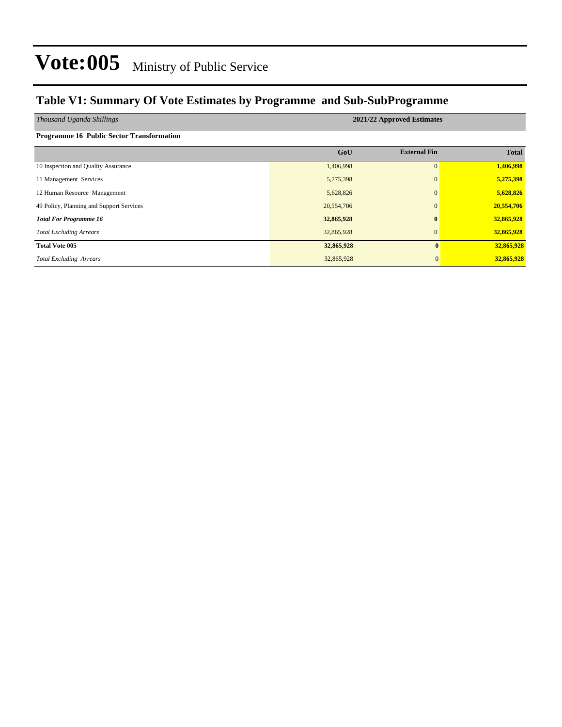### **Table V1: Summary Of Vote Estimates by Programme and Sub-SubProgramme**

| Thousand Uganda Shillings                 | 2021/22 Approved Estimates |                     |              |  |  |  |  |  |  |
|-------------------------------------------|----------------------------|---------------------|--------------|--|--|--|--|--|--|
| Programme 16 Public Sector Transformation |                            |                     |              |  |  |  |  |  |  |
|                                           | GoU                        | <b>External Fin</b> | <b>Total</b> |  |  |  |  |  |  |
| 10 Inspection and Quality Assurance       | 1,406,998                  | $\mathbf{0}$        | 1,406,998    |  |  |  |  |  |  |
| 11 Management Services                    | 5,275,398                  | $\Omega$            | 5,275,398    |  |  |  |  |  |  |
| 12 Human Resource Management              | 5,628,826                  |                     | 5,628,826    |  |  |  |  |  |  |
| 49 Policy, Planning and Support Services  | 20,554,706                 | $\mathbf{0}$        | 20,554,706   |  |  |  |  |  |  |
| <b>Total For Programme 16</b>             | 32,865,928                 | $\mathbf{0}$        | 32,865,928   |  |  |  |  |  |  |
| <b>Total Excluding Arrears</b>            | 32,865,928                 | $\Omega$            | 32,865,928   |  |  |  |  |  |  |
| <b>Total Vote 005</b>                     | 32,865,928                 | $\mathbf{0}$        | 32,865,928   |  |  |  |  |  |  |
| <b>Total Excluding Arrears</b>            | 32,865,928                 | $\mathbf{0}$        | 32,865,928   |  |  |  |  |  |  |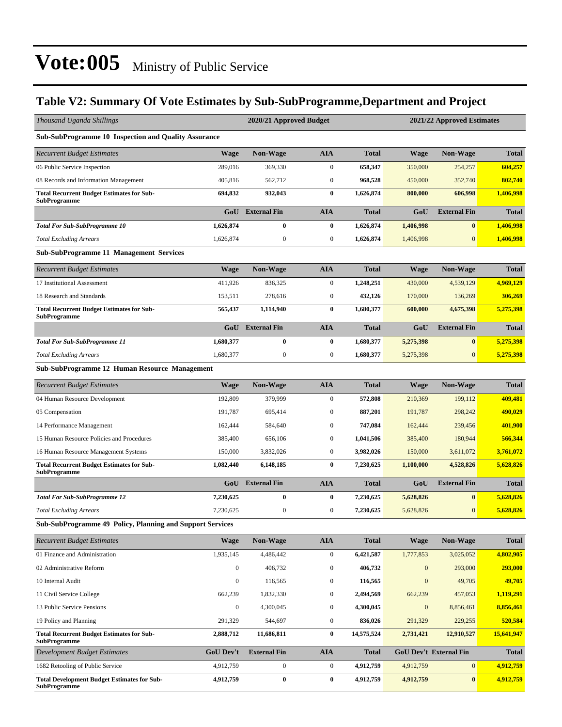### **Table V2: Summary Of Vote Estimates by Sub-SubProgramme,Department and Project**

| Thousand Uganda Shillings                                                 |                  | 2020/21 Approved Budget |                  |              | 2021/22 Approved Estimates |                               |              |
|---------------------------------------------------------------------------|------------------|-------------------------|------------------|--------------|----------------------------|-------------------------------|--------------|
| Sub-SubProgramme 10 Inspection and Quality Assurance                      |                  |                         |                  |              |                            |                               |              |
| Recurrent Budget Estimates                                                | <b>Wage</b>      | Non-Wage                | AIA              | <b>Total</b> | <b>Wage</b>                | Non-Wage                      | <b>Total</b> |
| 06 Public Service Inspection                                              | 289,016          | 369,330                 | $\boldsymbol{0}$ | 658,347      | 350,000                    | 254,257                       | 604,257      |
| 08 Records and Information Management                                     | 405,816          | 562,712                 | $\boldsymbol{0}$ | 968,528      | 450,000                    | 352,740                       | 802,740      |
| <b>Total Recurrent Budget Estimates for Sub-</b><br>SubProgramme          | 694,832          | 932,043                 | $\bf{0}$         | 1,626,874    | 800,000                    | 606,998                       | 1,406,998    |
|                                                                           | GoU              | <b>External Fin</b>     | <b>AIA</b>       | <b>Total</b> | GoU                        | <b>External Fin</b>           | <b>Total</b> |
| <b>Total For Sub-SubProgramme 10</b>                                      | 1,626,874        | $\bf{0}$                | $\bf{0}$         | 1,626,874    | 1,406,998                  | $\bf{0}$                      | 1,406,998    |
| <b>Total Excluding Arrears</b>                                            | 1,626,874        | $\boldsymbol{0}$        | $\boldsymbol{0}$ | 1,626,874    | 1,406,998                  | $\overline{0}$                | 1,406,998    |
| <b>Sub-SubProgramme 11 Management Services</b>                            |                  |                         |                  |              |                            |                               |              |
| <b>Recurrent Budget Estimates</b>                                         | <b>Wage</b>      | <b>Non-Wage</b>         | AIA              | <b>Total</b> | <b>Wage</b>                | <b>Non-Wage</b>               | <b>Total</b> |
| 17 Institutional Assessment                                               | 411,926          | 836,325                 | $\boldsymbol{0}$ | 1,248,251    | 430,000                    | 4,539,129                     | 4,969,129    |
| 18 Research and Standards                                                 | 153,511          | 278,616                 | $\boldsymbol{0}$ | 432,126      | 170,000                    | 136,269                       | 306,269      |
| <b>Total Recurrent Budget Estimates for Sub-</b><br>SubProgramme          | 565,437          | 1,114,940               | $\bf{0}$         | 1,680,377    | 600,000                    | 4,675,398                     | 5,275,398    |
|                                                                           | GoU              | <b>External Fin</b>     | <b>AIA</b>       | Total        | GoU                        | <b>External Fin</b>           | <b>Total</b> |
| <b>Total For Sub-SubProgramme 11</b>                                      | 1,680,377        | $\bf{0}$                | $\bf{0}$         | 1,680,377    | 5,275,398                  | $\bf{0}$                      | 5,275,398    |
| <b>Total Excluding Arrears</b>                                            | 1,680,377        | $\boldsymbol{0}$        | $\boldsymbol{0}$ | 1,680,377    | 5,275,398                  | $\mathbf{0}$                  | 5,275,398    |
| Sub-SubProgramme 12 Human Resource Management                             |                  |                         |                  |              |                            |                               |              |
| <b>Recurrent Budget Estimates</b>                                         | <b>Wage</b>      | <b>Non-Wage</b>         | <b>AIA</b>       | <b>Total</b> | <b>Wage</b>                | <b>Non-Wage</b>               | <b>Total</b> |
| 04 Human Resource Development                                             | 192,809          | 379,999                 | $\boldsymbol{0}$ | 572,808      | 210,369                    | 199,112                       | 409,481      |
| 05 Compensation                                                           | 191,787          | 695,414                 | $\mathbf{0}$     | 887,201      | 191,787                    | 298,242                       | 490,029      |
| 14 Performance Management                                                 | 162,444          | 584,640                 | $\boldsymbol{0}$ | 747,084      | 162,444                    | 239,456                       | 401,900      |
| 15 Human Resource Policies and Procedures                                 | 385,400          | 656,106                 | $\boldsymbol{0}$ | 1,041,506    | 385,400                    | 180,944                       | 566,344      |
| 16 Human Resource Management Systems                                      | 150,000          | 3,832,026               | $\boldsymbol{0}$ | 3,982,026    | 150,000                    | 3,611,072                     | 3,761,072    |
| <b>Total Recurrent Budget Estimates for Sub-</b><br><b>SubProgramme</b>   | 1,082,440        | 6,148,185               | $\bf{0}$         | 7,230,625    | 1,100,000                  | 4,528,826                     | 5,628,826    |
|                                                                           | GoU              | <b>External Fin</b>     | <b>AIA</b>       | Total        | GoU                        | <b>External Fin</b>           | <b>Total</b> |
| <b>Total For Sub-SubProgramme 12</b>                                      | 7,230,625        | $\bf{0}$                | $\bf{0}$         | 7,230,625    | 5,628,826                  | $\bf{0}$                      | 5,628,826    |
| <b>Total Excluding Arrears</b>                                            | 7,230,625        | $\boldsymbol{0}$        | 0                | 7,230,625    | 5,628,826                  | $\mathbf{0}$                  | 5,628,826    |
| <b>Sub-SubProgramme 49 Policy, Planning and Support Services</b>          |                  |                         |                  |              |                            |                               |              |
| <b>Recurrent Budget Estimates</b>                                         | <b>Wage</b>      | <b>Non-Wage</b>         | <b>AIA</b>       | <b>Total</b> | Wage                       | <b>Non-Wage</b>               | <b>Total</b> |
| 01 Finance and Administration                                             | 1,935,145        | 4,486,442               | $\boldsymbol{0}$ | 6,421,587    | 1,777,853                  | 3,025,052                     | 4,802,905    |
| 02 Administrative Reform                                                  | $\boldsymbol{0}$ | 406,732                 | $\boldsymbol{0}$ | 406,732      | $\boldsymbol{0}$           | 293,000                       | 293,000      |
| 10 Internal Audit                                                         | $\boldsymbol{0}$ | 116,565                 | $\boldsymbol{0}$ | 116,565      | $\boldsymbol{0}$           | 49,705                        | 49,705       |
| 11 Civil Service College                                                  | 662,239          | 1,832,330               | $\boldsymbol{0}$ | 2,494,569    | 662,239                    | 457,053                       | 1,119,291    |
| 13 Public Service Pensions                                                | $\boldsymbol{0}$ | 4,300,045               | $\boldsymbol{0}$ | 4,300,045    | $\boldsymbol{0}$           | 8,856,461                     | 8,856,461    |
| 19 Policy and Planning                                                    | 291,329          | 544,697                 | $\boldsymbol{0}$ | 836,026      | 291,329                    | 229,255                       | 520,584      |
| <b>Total Recurrent Budget Estimates for Sub-</b><br><b>SubProgramme</b>   | 2,888,712        | 11,686,811              | $\bf{0}$         | 14,575,524   | 2,731,421                  | 12,910,527                    | 15,641,947   |
| Development Budget Estimates                                              | <b>GoU Dev't</b> | <b>External Fin</b>     | <b>AIA</b>       | <b>Total</b> |                            | <b>GoU Dev't External Fin</b> | <b>Total</b> |
| 1682 Retooling of Public Service                                          | 4,912,759        | $\boldsymbol{0}$        | $\boldsymbol{0}$ | 4,912,759    | 4,912,759                  | $\mathbf{0}$                  | 4,912,759    |
| <b>Total Development Budget Estimates for Sub-</b><br><b>SubProgramme</b> | 4,912,759        | $\boldsymbol{0}$        | $\bf{0}$         | 4,912,759    | 4,912,759                  | $\bf{0}$                      | 4,912,759    |
|                                                                           |                  |                         |                  |              |                            |                               |              |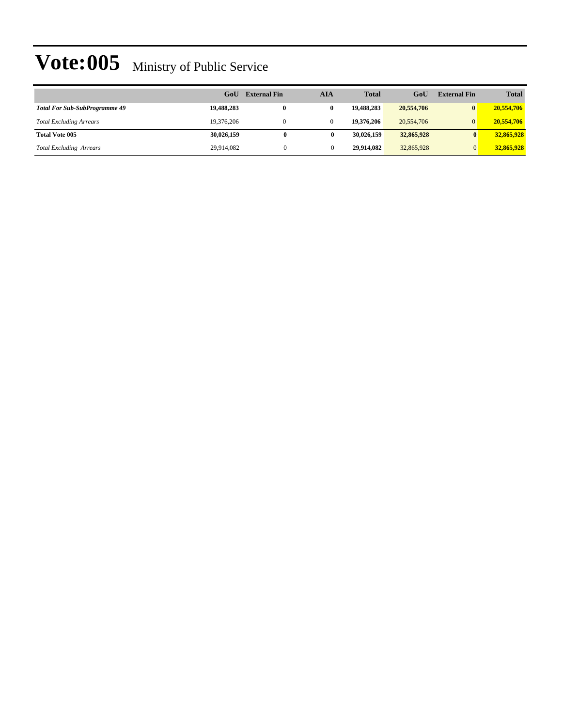|                                      | GoU        | <b>External Fin</b> | AIA         | <b>Total</b> | GoU        | <b>External Fin</b> | <b>Total</b> |
|--------------------------------------|------------|---------------------|-------------|--------------|------------|---------------------|--------------|
| <b>Total For Sub-SubProgramme 49</b> | 19,488,283 |                     | 0           | 19.488.283   | 20,554,706 | $\mathbf{0}$        | 20,554,706   |
| <b>Total Excluding Arrears</b>       | 19,376,206 |                     | $\Omega$    | 19,376,206   | 20,554,706 | $\Omega$            | 20,554,706   |
| <b>Total Vote 005</b>                | 30,026,159 | $\bf{0}$            | $\mathbf 0$ | 30.026.159   | 32,865,928 | $\mathbf{0}$        | 32,865,928   |
| <b>Total Excluding Arrears</b>       | 29,914,082 | $\Omega$            |             | 29.914.082   | 32,865,928 |                     | 32,865,928   |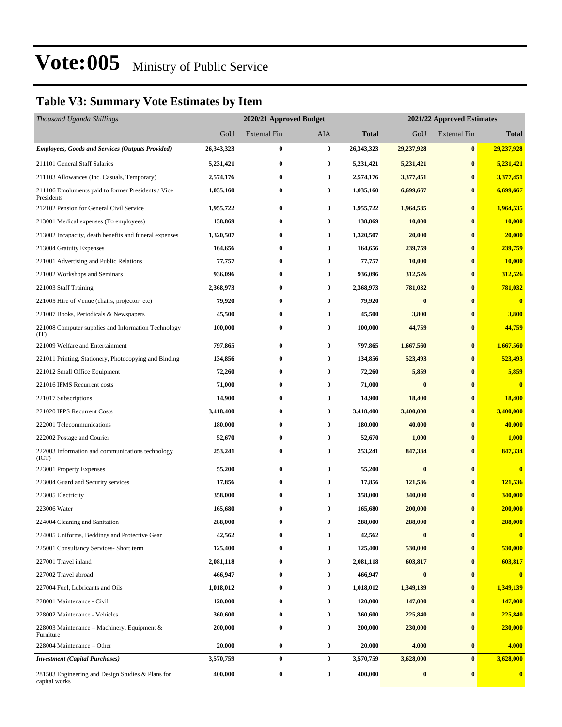### **Table V3: Summary Vote Estimates by Item**

| Thousand Uganda Shillings                                          |              | 2020/21 Approved Budget |          |              | 2021/22 Approved Estimates |                     |                         |
|--------------------------------------------------------------------|--------------|-------------------------|----------|--------------|----------------------------|---------------------|-------------------------|
|                                                                    | GoU          | External Fin            | AIA      | <b>Total</b> | GoU                        | <b>External Fin</b> | <b>Total</b>            |
| <b>Employees, Goods and Services (Outputs Provided)</b>            | 26, 343, 323 | 0                       | $\bf{0}$ | 26, 343, 323 | 29,237,928                 | $\bf{0}$            | 29,237,928              |
| 211101 General Staff Salaries                                      | 5,231,421    | 0                       | $\bf{0}$ | 5,231,421    | 5,231,421                  | $\bf{0}$            | 5,231,421               |
| 211103 Allowances (Inc. Casuals, Temporary)                        | 2,574,176    | 0                       | $\bf{0}$ | 2,574,176    | 3,377,451                  | $\bf{0}$            | 3,377,451               |
| 211106 Emoluments paid to former Presidents / Vice<br>Presidents   | 1,035,160    | 0                       | $\bf{0}$ | 1,035,160    | 6,699,667                  | $\bf{0}$            | 6,699,667               |
| 212102 Pension for General Civil Service                           | 1,955,722    | 0                       | $\bf{0}$ | 1,955,722    | 1,964,535                  | $\bf{0}$            | 1,964,535               |
| 213001 Medical expenses (To employees)                             | 138,869      | $\bf{0}$                | $\bf{0}$ | 138,869      | 10,000                     | $\bf{0}$            | 10,000                  |
| 213002 Incapacity, death benefits and funeral expenses             | 1,320,507    | 0                       | $\bf{0}$ | 1,320,507    | 20,000                     | $\bf{0}$            | 20,000                  |
| 213004 Gratuity Expenses                                           | 164,656      | 0                       | $\bf{0}$ | 164,656      | 239,759                    | $\bf{0}$            | 239,759                 |
| 221001 Advertising and Public Relations                            | 77,757       | 0                       | $\bf{0}$ | 77,757       | 10,000                     | $\bf{0}$            | <b>10,000</b>           |
| 221002 Workshops and Seminars                                      | 936,096      | 0                       | 0        | 936,096      | 312,526                    | $\bf{0}$            | 312,526                 |
| 221003 Staff Training                                              | 2,368,973    | 0                       | $\bf{0}$ | 2,368,973    | 781,032                    | $\bf{0}$            | 781,032                 |
| 221005 Hire of Venue (chairs, projector, etc)                      | 79,920       | 0                       | $\bf{0}$ | 79,920       | $\bf{0}$                   | $\bf{0}$            | $\overline{\mathbf{0}}$ |
| 221007 Books, Periodicals & Newspapers                             | 45,500       | 0                       | $\bf{0}$ | 45,500       | 3,800                      | $\bf{0}$            | 3,800                   |
| 221008 Computer supplies and Information Technology<br>(TT)        | 100,000      | 0                       | $\bf{0}$ | 100,000      | 44,759                     | $\bf{0}$            | 44,759                  |
| 221009 Welfare and Entertainment                                   | 797,865      | $\bf{0}$                | $\bf{0}$ | 797,865      | 1,667,560                  | $\bf{0}$            | 1,667,560               |
| 221011 Printing, Stationery, Photocopying and Binding              | 134,856      | 0                       | $\bf{0}$ | 134,856      | 523,493                    | $\bf{0}$            | 523,493                 |
| 221012 Small Office Equipment                                      | 72,260       | 0                       | $\bf{0}$ | 72,260       | 5,859                      | $\bf{0}$            | 5,859                   |
| 221016 IFMS Recurrent costs                                        | 71,000       | $\bf{0}$                | 0        | 71,000       | $\bf{0}$                   | $\bf{0}$            | $\bf{0}$                |
| 221017 Subscriptions                                               | 14,900       | 0                       | $\bf{0}$ | 14,900       | 18,400                     | $\bf{0}$            | 18,400                  |
| 221020 IPPS Recurrent Costs                                        | 3,418,400    | $\bf{0}$                | $\bf{0}$ | 3,418,400    | 3,400,000                  | $\bf{0}$            | 3,400,000               |
| 222001 Telecommunications                                          | 180,000      | 0                       | $\bf{0}$ | 180,000      | 40,000                     | $\bf{0}$            | 40,000                  |
| 222002 Postage and Courier                                         | 52,670       | 0                       | $\bf{0}$ | 52,670       | 1,000                      | $\bf{0}$            | 1,000                   |
| 222003 Information and communications technology<br>(ICT)          | 253,241      | $\bf{0}$                | 0        | 253,241      | 847,334                    | $\bf{0}$            | 847,334                 |
| 223001 Property Expenses                                           | 55,200       | $\bf{0}$                | $\bf{0}$ | 55,200       | $\bf{0}$                   | $\bf{0}$            | $\bf{0}$                |
| 223004 Guard and Security services                                 | 17,856       | 0                       | $\bf{0}$ | 17,856       | 121,536                    | $\bf{0}$            | 121,536                 |
| 223005 Electricity                                                 | 358,000      | $\bf{0}$                | $\bf{0}$ | 358,000      | 340,000                    | $\bf{0}$            | 340,000                 |
| 223006 Water                                                       | 165,680      | $\bf{0}$                | 0        | 165,680      | 200,000                    | $\bf{0}$            | 200,000                 |
| 224004 Cleaning and Sanitation                                     | 288,000      | 0                       |          | 288,000      | 288,000                    | $\bf{0}$            | 288,000                 |
| 224005 Uniforms, Beddings and Protective Gear                      | 42,562       | $\bf{0}$                | 0        | 42,562       | $\boldsymbol{0}$           | $\bf{0}$            | $\bf{0}$                |
| 225001 Consultancy Services- Short term                            | 125,400      | 0                       | 0        | 125,400      | 530,000                    | $\bf{0}$            | 530,000                 |
| 227001 Travel inland                                               | 2,081,118    | 0                       | $\bf{0}$ | 2,081,118    | 603,817                    | $\bf{0}$            | 603,817                 |
| 227002 Travel abroad                                               | 466,947      | 0                       | 0        | 466,947      | $\bf{0}$                   | $\bf{0}$            | $\bf{0}$                |
| 227004 Fuel, Lubricants and Oils                                   | 1,018,012    | 0                       | 0        | 1,018,012    | 1,349,139                  | $\bf{0}$            | 1,349,139               |
| 228001 Maintenance - Civil                                         | 120,000      | $\bf{0}$                | 0        | 120,000      | 147,000                    | $\bf{0}$            | 147,000                 |
| 228002 Maintenance - Vehicles                                      | 360,600      | $\bf{0}$                | $\bf{0}$ | 360,600      | 225,840                    | $\bf{0}$            | 225,840                 |
| 228003 Maintenance - Machinery, Equipment &<br>Furniture           | 200,000      | $\bf{0}$                | $\bf{0}$ | 200,000      | 230,000                    | $\bf{0}$            | 230,000                 |
| 228004 Maintenance – Other                                         | 20,000       | $\bf{0}$                | $\bf{0}$ | 20,000       | 4,000                      | $\bf{0}$            | 4,000                   |
| <b>Investment</b> (Capital Purchases)                              | 3,570,759    | $\bf{0}$                | $\bf{0}$ | 3,570,759    | 3,628,000                  | $\bf{0}$            | 3,628,000               |
| 281503 Engineering and Design Studies & Plans for<br>capital works | 400,000      | $\boldsymbol{0}$        | $\bf{0}$ | 400,000      | $\boldsymbol{0}$           | $\bf{0}$            | $\bf{0}$                |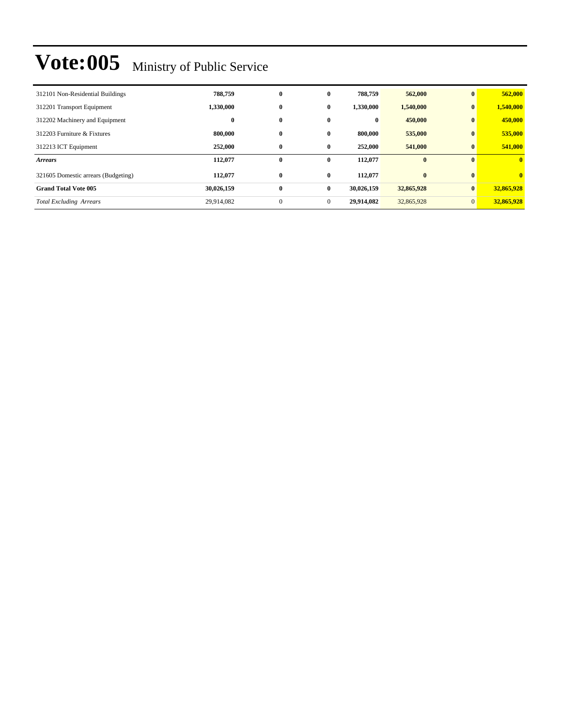| 312101 Non-Residential Buildings    | 788,759    | $\bf{0}$     | 0            | 788,759    | 562,000    | $\mathbf{0}$   | 562,000        |
|-------------------------------------|------------|--------------|--------------|------------|------------|----------------|----------------|
| 312201 Transport Equipment          | 1,330,000  | $\bf{0}$     | $\bf{0}$     | 1,330,000  | 1,540,000  | $\bf{0}$       | 1,540,000      |
| 312202 Machinery and Equipment      | $\bf{0}$   | $\bf{0}$     | $\bf{0}$     | $\bf{0}$   | 450,000    | $\bf{0}$       | 450,000        |
| 312203 Furniture & Fixtures         | 800,000    | $\bf{0}$     | 0            | 800,000    | 535,000    | $\bf{0}$       | 535,000        |
| 312213 ICT Equipment                | 252,000    | $\bf{0}$     | $\bf{0}$     | 252,000    | 541,000    | $\bf{0}$       | 541,000        |
| <b>Arrears</b>                      | 112,077    | $\bf{0}$     | 0            | 112,077    | $\bf{0}$   | $\mathbf{0}$   | $\mathbf{0}$   |
| 321605 Domestic arrears (Budgeting) | 112,077    | $\bf{0}$     | 0            | 112,077    | $\bf{0}$   | $\mathbf{0}$   | $\overline{0}$ |
| <b>Grand Total Vote 005</b>         | 30,026,159 | $\bf{0}$     | $\bf{0}$     | 30,026,159 | 32,865,928 | $\bf{0}$       | 32,865,928     |
| <b>Total Excluding Arrears</b>      | 29,914,082 | $\mathbf{0}$ | $\mathbf{0}$ | 29,914,082 | 32,865,928 | $\overline{0}$ | 32,865,928     |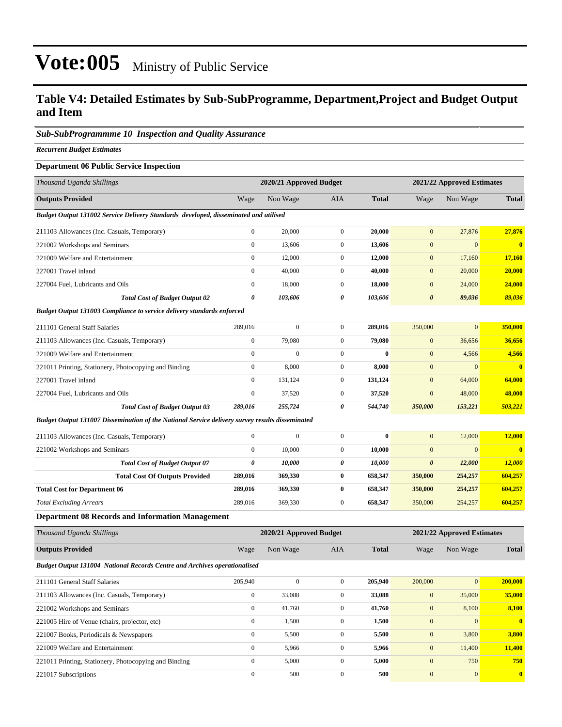### **Table V4: Detailed Estimates by Sub-SubProgramme, Department,Project and Budget Output and Item**

#### *Sub-SubProgrammme 10 Inspection and Quality Assurance*

*Recurrent Budget Estimates*

#### **Department 06 Public Service Inspection**

| Thousand Uganda Shillings                                                                       |                  | 2020/21 Approved Budget |                       |              |                       | 2021/22 Approved Estimates |                         |
|-------------------------------------------------------------------------------------------------|------------------|-------------------------|-----------------------|--------------|-----------------------|----------------------------|-------------------------|
| <b>Outputs Provided</b>                                                                         | Wage             | Non Wage                | <b>AIA</b>            | <b>Total</b> | Wage                  | Non Wage                   | <b>Total</b>            |
| Budget Output 131002 Service Delivery Standards developed, disseminated and utilised            |                  |                         |                       |              |                       |                            |                         |
| 211103 Allowances (Inc. Casuals, Temporary)                                                     | $\boldsymbol{0}$ | 20,000                  | $\mathbf{0}$          | 20,000       | $\mathbf{0}$          | 27,876                     | 27,876                  |
| 221002 Workshops and Seminars                                                                   | $\boldsymbol{0}$ | 13,606                  | $\mathbf{0}$          | 13,606       | $\mathbf{0}$          | $\mathbf{0}$               | $\bf{0}$                |
| 221009 Welfare and Entertainment                                                                | $\boldsymbol{0}$ | 12,000                  | $\boldsymbol{0}$      | 12,000       | $\boldsymbol{0}$      | 17,160                     | 17,160                  |
| 227001 Travel inland                                                                            | $\boldsymbol{0}$ | 40,000                  | $\mathbf{0}$          | 40,000       | $\boldsymbol{0}$      | 20,000                     | 20,000                  |
| 227004 Fuel, Lubricants and Oils                                                                | $\boldsymbol{0}$ | 18,000                  | $\boldsymbol{0}$      | 18,000       | $\boldsymbol{0}$      | 24,000                     | 24,000                  |
| <b>Total Cost of Budget Output 02</b>                                                           | 0                | 103,606                 | $\boldsymbol{\theta}$ | 103,606      | $\boldsymbol{\theta}$ | 89,036                     | 89,036                  |
| <b>Budget Output 131003 Compliance to service delivery standards enforced</b>                   |                  |                         |                       |              |                       |                            |                         |
| 211101 General Staff Salaries                                                                   | 289,016          | $\boldsymbol{0}$        | $\mathbf{0}$          | 289,016      | 350,000               | $\boldsymbol{0}$           | 350,000                 |
| 211103 Allowances (Inc. Casuals, Temporary)                                                     | $\boldsymbol{0}$ | 79,080                  | $\boldsymbol{0}$      | 79,080       | $\boldsymbol{0}$      | 36,656                     | 36,656                  |
| 221009 Welfare and Entertainment                                                                | $\boldsymbol{0}$ | $\overline{0}$          | $\mathbf{0}$          | $\bf{0}$     | $\mathbf{0}$          | 4,566                      | 4,566                   |
| 221011 Printing, Stationery, Photocopying and Binding                                           | $\boldsymbol{0}$ | 8,000                   | $\boldsymbol{0}$      | 8,000        | $\mathbf{0}$          | $\mathbf{0}$               | $\bf{0}$                |
| 227001 Travel inland                                                                            | $\boldsymbol{0}$ | 131,124                 | $\mathbf{0}$          | 131,124      | $\mathbf{0}$          | 64,000                     | 64,000                  |
| 227004 Fuel, Lubricants and Oils                                                                | $\boldsymbol{0}$ | 37,520                  | $\boldsymbol{0}$      | 37,520       | $\mathbf{0}$          | 48,000                     | 48,000                  |
| <b>Total Cost of Budget Output 03</b>                                                           | 289,016          | 255,724                 | 0                     | 544,740      | 350,000               | 153,221                    | 503,221                 |
| Budget Output 131007 Dissemination of the National Service delivery survey results disseminated |                  |                         |                       |              |                       |                            |                         |
| 211103 Allowances (Inc. Casuals, Temporary)                                                     | $\boldsymbol{0}$ | $\boldsymbol{0}$        | $\mathbf{0}$          | $\bf{0}$     | $\mathbf{0}$          | 12,000                     | 12,000                  |
| 221002 Workshops and Seminars                                                                   | $\boldsymbol{0}$ | 10,000                  | $\boldsymbol{0}$      | 10,000       | $\mathbf{0}$          | $\mathbf{0}$               | $\overline{\mathbf{0}}$ |
| <b>Total Cost of Budget Output 07</b>                                                           | 0                | 10,000                  | 0                     | 10,000       | $\pmb{\theta}$        | 12,000                     | <b>12,000</b>           |
| <b>Total Cost Of Outputs Provided</b>                                                           | 289,016          | 369,330                 | $\bf{0}$              | 658,347      | 350,000               | 254,257                    | 604,257                 |
| <b>Total Cost for Department 06</b>                                                             | 289,016          | 369,330                 | $\bf{0}$              | 658,347      | 350,000               | 254,257                    | 604,257                 |
| <b>Total Excluding Arrears</b>                                                                  | 289,016          | 369,330                 | $\mathbf{0}$          | 658,347      | 350,000               | 254,257                    | 604,257                 |
| <b>Department 08 Records and Information Management</b>                                         |                  |                         |                       |              |                       |                            |                         |
| Thousand Uganda Shillings                                                                       |                  | 2020/21 Approved Budget |                       |              |                       | 2021/22 Approved Estimates |                         |
| <b>Outputs Provided</b>                                                                         | Wage             | Non Wage                | AIA                   | <b>Total</b> | Wage                  | Non Wage                   | <b>Total</b>            |
| Budget Output 131004 National Records Centre and Archives operationalised                       |                  |                         |                       |              |                       |                            |                         |
| 211101 General Staff Salaries                                                                   | 205,940          | $\boldsymbol{0}$        | $\mathbf{0}$          | 205,940      | 200,000               | 0                          | 200,000                 |
| 211103 Allowances (Inc. Casuals, Temporary)                                                     | $\boldsymbol{0}$ | 33,088                  | $\mathbf{0}$          | 33,088       | $\mathbf{0}$          | 35,000                     | 35,000                  |
| 221002 Workshops and Seminars                                                                   | $\boldsymbol{0}$ | 41,760                  | $\boldsymbol{0}$      | 41,760       | $\boldsymbol{0}$      | 8,100                      | 8,100                   |
| 221005 Hire of Venue (chairs, projector, etc)                                                   | $\boldsymbol{0}$ | 1,500                   | $\overline{0}$        | 1,500        | $\boldsymbol{0}$      | $\boldsymbol{0}$           | $\mathbf{0}$            |
| 221007 Books, Periodicals & Newspapers                                                          | $\boldsymbol{0}$ | 5,500                   | $\boldsymbol{0}$      | 5,500        | $\boldsymbol{0}$      | 3,800                      | 3,800                   |
| 221009 Welfare and Entertainment                                                                | $\boldsymbol{0}$ | 5,966                   | $\boldsymbol{0}$      | 5,966        | $\boldsymbol{0}$      | 11,400                     | 11,400                  |
| 221011 Printing, Stationery, Photocopying and Binding                                           | $\boldsymbol{0}$ | 5,000                   | $\boldsymbol{0}$      | 5,000        | $\boldsymbol{0}$      | 750                        | 750                     |
| 221017 Subscriptions                                                                            | $\boldsymbol{0}$ | 500                     | $\overline{0}$        | 500          | $\boldsymbol{0}$      | $\boldsymbol{0}$           | $\mathbf{0}$            |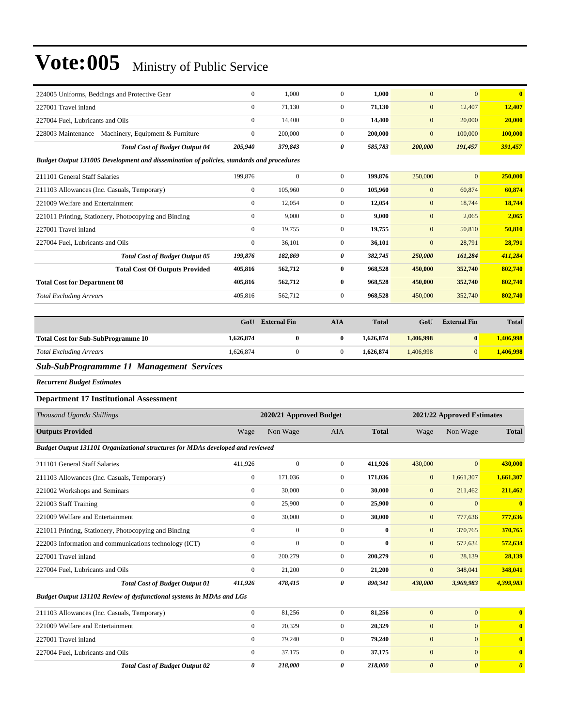| 224005 Uniforms, Beddings and Protective Gear                                            | $\overline{0}$ | 1,000        | $\Omega$       | 1,000   | $\overline{0}$   | $\mathbf{0}$ | $\bf{0}$ |
|------------------------------------------------------------------------------------------|----------------|--------------|----------------|---------|------------------|--------------|----------|
| 227001 Travel inland                                                                     | $\overline{0}$ | 71,130       | $\overline{0}$ | 71,130  | $\mathbf{0}$     | 12,407       | 12,407   |
| 227004 Fuel, Lubricants and Oils                                                         | $\mathbf{0}$   | 14,400       | $\overline{0}$ | 14,400  | $\boldsymbol{0}$ | 20,000       | 20,000   |
| 228003 Maintenance – Machinery, Equipment & Furniture                                    | $\overline{0}$ | 200,000      | $\overline{0}$ | 200,000 | $\mathbf{0}$     | 100,000      | 100,000  |
| <b>Total Cost of Budget Output 04</b>                                                    | 205,940        | 379,843      | 0              | 585,783 | 200,000          | 191,457      | 391,457  |
| Budget Output 131005 Development and dissemination of policies, standards and procedures |                |              |                |         |                  |              |          |
| 211101 General Staff Salaries                                                            | 199,876        | $\mathbf{0}$ | $\Omega$       | 199,876 | 250,000          | $\mathbf{0}$ | 250,000  |
| 211103 Allowances (Inc. Casuals, Temporary)                                              | $\mathbf{0}$   | 105,960      | $\overline{0}$ | 105,960 | $\mathbf{0}$     | 60,874       | 60,874   |
| 221009 Welfare and Entertainment                                                         | $\overline{0}$ | 12,054       | $\overline{0}$ | 12,054  | $\mathbf{0}$     | 18,744       | 18,744   |
| 221011 Printing, Stationery, Photocopying and Binding                                    | $\overline{0}$ | 9,000        | $\overline{0}$ | 9,000   | $\overline{0}$   | 2,065        | 2,065    |
| 227001 Travel inland                                                                     | $\overline{0}$ | 19,755       | $\overline{0}$ | 19,755  | $\mathbf{0}$     | 50,810       | 50,810   |
| 227004 Fuel, Lubricants and Oils                                                         | $\mathbf{0}$   | 36,101       | $\overline{0}$ | 36,101  | $\mathbf{0}$     | 28,791       | 28,791   |
| <b>Total Cost of Budget Output 05</b>                                                    | 199,876        | 182,869      | 0              | 382,745 | 250,000          | 161,284      | 411,284  |
| <b>Total Cost Of Outputs Provided</b>                                                    | 405,816        | 562,712      | $\bf{0}$       | 968,528 | 450,000          | 352,740      | 802,740  |
| <b>Total Cost for Department 08</b>                                                      | 405,816        | 562,712      | $\bf{0}$       | 968,528 | 450,000          | 352,740      | 802,740  |
| <b>Total Excluding Arrears</b>                                                           | 405,816        | 562,712      | $\overline{0}$ | 968,528 | 450,000          | 352,740      | 802,740  |

|                                                                                                                                                                                         | GoU       | <b>External Fin</b> | AIA | <b>Total</b> | GoU       | <b>External Fin</b> | <b>Total</b> |
|-----------------------------------------------------------------------------------------------------------------------------------------------------------------------------------------|-----------|---------------------|-----|--------------|-----------|---------------------|--------------|
| <b>Total Cost for Sub-SubProgramme 10</b>                                                                                                                                               | 1,626,874 | 0                   |     | 1.626.874    | 1,406,998 | $\mathbf{0}$        | 1,406,998    |
| <b>Total Excluding Arrears</b>                                                                                                                                                          | 1.626.874 |                     |     | 1.626.874    | 1.406.998 | $\Omega$            | 1,406,998    |
| $\mathbf{C}$ , $\mathbf{I}$ , $\mathbf{C}$ , $\mathbf{I}$ $\mathbf{D}$ , $\ldots$ , $\ldots$ , $\mathbf{H}$ and $\mathbf{M}$ , $\ldots$ , $\ldots$ , $\mathbf{C}$ , $\ldots$ , $\ldots$ |           |                     |     |              |           |                     |              |

#### *Sub-SubProgrammme 11 Management Services*

*Recurrent Budget Estimates*

#### **Department 17 Institutional Assessment**

| Thousand Uganda Shillings                                                      |                  | 2020/21 Approved Budget |                |              |              | 2021/22 Approved Estimates |              |
|--------------------------------------------------------------------------------|------------------|-------------------------|----------------|--------------|--------------|----------------------------|--------------|
| <b>Outputs Provided</b>                                                        | Wage             | Non Wage                | <b>AIA</b>     | <b>Total</b> | Wage         | Non Wage                   | <b>Total</b> |
| Budget Output 131101 Organizational structures for MDAs developed and reviewed |                  |                         |                |              |              |                            |              |
| 211101 General Staff Salaries                                                  | 411,926          | $\mathbf{0}$            | $\overline{0}$ | 411.926      | 430,000      | $\overline{0}$             | 430,000      |
| 211103 Allowances (Inc. Casuals, Temporary)                                    | $\mathbf{0}$     | 171.036                 | $\overline{0}$ | 171,036      | $\mathbf{0}$ | 1,661,307                  | 1,661,307    |
| 221002 Workshops and Seminars                                                  | $\mathbf{0}$     | 30,000                  | $\Omega$       | 30,000       | $\mathbf{0}$ | 211,462                    | 211,462      |
| 221003 Staff Training                                                          | $\mathbf{0}$     | 25,900                  | $\overline{0}$ | 25,900       | $\mathbf{0}$ | $\mathbf{0}$               | $\mathbf{0}$ |
| 221009 Welfare and Entertainment                                               | $\mathbf{0}$     | 30,000                  | $\mathbf{0}$   | 30,000       | $\mathbf{0}$ | 777,636                    | 777,636      |
| 221011 Printing, Stationery, Photocopying and Binding                          | $\mathbf{0}$     | $\mathbf{0}$            | $\mathbf{0}$   | $\bf{0}$     | $\mathbf{0}$ | 370,765                    | 370,765      |
| 222003 Information and communications technology (ICT)                         | $\mathbf{0}$     | $\mathbf{0}$            | $\overline{0}$ | 0            | $\mathbf{0}$ | 572,634                    | 572,634      |
| 227001 Travel inland                                                           | $\Omega$         | 200,279                 | $\overline{0}$ | 200,279      | $\mathbf{0}$ | 28,139                     | 28,139       |
| 227004 Fuel, Lubricants and Oils                                               | $\mathbf{0}$     | 21,200                  | $\overline{0}$ | 21,200       | $\mathbf{0}$ | 348,041                    | 348,041      |
| <b>Total Cost of Budget Output 01</b>                                          | 411,926          | 478,415                 | 0              | 890,341      | 430,000      | 3,969,983                  | 4,399,983    |
| Budget Output 131102 Review of dysfunctional systems in MDAs and LGs           |                  |                         |                |              |              |                            |              |
| 211103 Allowances (Inc. Casuals, Temporary)                                    | $\boldsymbol{0}$ | 81,256                  | $\mathbf{0}$   | 81,256       | $\mathbf{0}$ | $\mathbf{0}$               | $\mathbf{0}$ |
| 221009 Welfare and Entertainment                                               | $\mathbf{0}$     | 20,329                  | $\overline{0}$ | 20,329       | $\mathbf{0}$ | $\mathbf{0}$               | $\mathbf{0}$ |
| 227001 Travel inland                                                           | $\mathbf{0}$     | 79,240                  | $\Omega$       | 79.240       | $\mathbf{0}$ | $\mathbf{0}$               | $\mathbf{0}$ |

227004 Fuel, Lubricants and Oils 0 37,175 0 **37,175** 0 0 **0**

*Total Cost of Budget Output 02 0 218,000 0 218,000 0 0 0*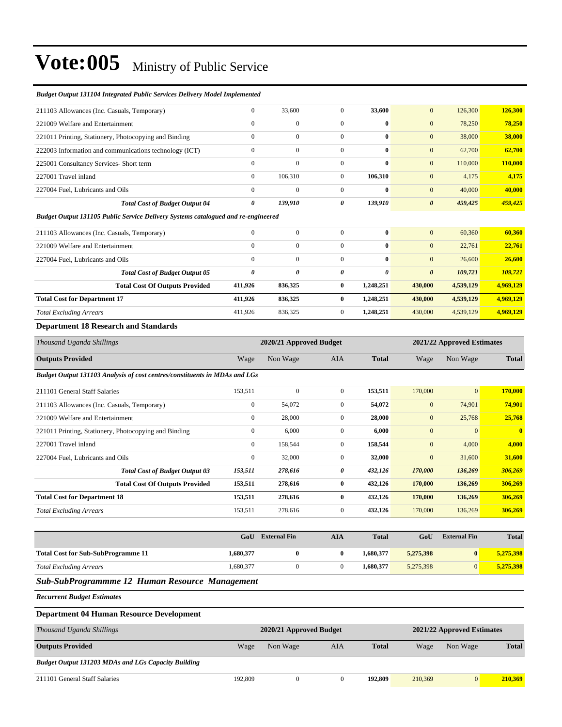#### *Budget Output 131104 Integrated Public Services Delivery Model Implemented*

| 211103 Allowances (Inc. Casuals, Temporary)            | $\mathbf{0}$ | 33,600       | $\overline{0}$ | 33,600       | 126,300<br>$\mathbf{0}$          | 126,300 |
|--------------------------------------------------------|--------------|--------------|----------------|--------------|----------------------------------|---------|
| 221009 Welfare and Entertainment                       | $\mathbf{0}$ | $\mathbf{0}$ | $\mathbf{0}$   | $\bf{0}$     | 78,250<br>$\mathbf{0}$           | 78,250  |
| 221011 Printing, Stationery, Photocopying and Binding  | $\mathbf{0}$ | $\mathbf{0}$ | $\mathbf{0}$   | $\bf{0}$     | 38,000<br>$\mathbf{0}$           | 38,000  |
| 222003 Information and communications technology (ICT) | $\Omega$     | $\Omega$     | $\Omega$       | $\mathbf{0}$ | $\mathbf{0}$<br>62,700           | 62,700  |
| 225001 Consultancy Services- Short term                | $\mathbf{0}$ | $\mathbf{0}$ | $\overline{0}$ | $\bf{0}$     | $\mathbf{0}$<br>110,000          | 110,000 |
| 227001 Travel inland                                   | $\Omega$     | 106.310      | $\overline{0}$ | 106.310      | $\mathbf{0}$<br>4,175            | 4,175   |
| 227004 Fuel, Lubricants and Oils                       | $\mathbf{0}$ | $\mathbf{0}$ | $\mathbf{0}$   | $\bf{0}$     | $\mathbf{0}$<br>40,000           | 40,000  |
| <b>Total Cost of Budget Output 04</b>                  | 0            | 139,910      | 0              | 139,910      | $\boldsymbol{\theta}$<br>459,425 | 459,425 |
|                                                        |              |              |                |              |                                  |         |

#### *Budget Output 131105 Public Service Delivery Systems catalogued and re-engineered*

| 211103 Allowances (Inc. Casuals, Temporary) |                                       | $\Omega$     | $\overline{0}$ | $\Omega$     | $\bf{0}$  | $\mathbf{0}$          | 60,360    | 60.360    |
|---------------------------------------------|---------------------------------------|--------------|----------------|--------------|-----------|-----------------------|-----------|-----------|
| 221009 Welfare and Entertainment            |                                       | $\mathbf{0}$ | $\mathbf{0}$   | $\mathbf{0}$ | $\bf{0}$  | $\mathbf{0}$          | 22,761    | 22,761    |
| 227004 Fuel. Lubricants and Oils            |                                       | $\mathbf{0}$ | $\mathbf{0}$   | $\Omega$     | $\bf{0}$  | $\mathbf{0}$          | 26,600    | 26,600    |
|                                             | <b>Total Cost of Budget Output 05</b> | 0            | $\theta$       | 0            | 0         | $\boldsymbol{\theta}$ | 109.721   | 109,721   |
|                                             | <b>Total Cost Of Outputs Provided</b> | 411.926      | 836.325        | 0            | 1.248.251 | 430,000               | 4,539,129 | 4,969,129 |
| <b>Total Cost for Department 17</b>         |                                       | 411.926      | 836,325        | 0            | 1,248,251 | 430,000               | 4,539,129 | 4,969,129 |
| <b>Total Excluding Arrears</b>              |                                       | 411.926      | 836,325        | $\Omega$     | 1.248.251 | 430,000               | 4,539,129 | 4,969,129 |

#### **Department 18 Research and Standards**

| Thousand Uganda Shillings                                                  |                  | 2020/21 Approved Budget |                |              |              |                | 2021/22 Approved Estimates |  |  |
|----------------------------------------------------------------------------|------------------|-------------------------|----------------|--------------|--------------|----------------|----------------------------|--|--|
| <b>Outputs Provided</b>                                                    | Wage             | Non Wage                | <b>AIA</b>     | <b>Total</b> | Wage         | Non Wage       | <b>Total</b>               |  |  |
| Budget Output 131103 Analysis of cost centres/constituents in MDAs and LGs |                  |                         |                |              |              |                |                            |  |  |
| 211101 General Staff Salaries                                              | 153,511          | $\mathbf{0}$            | $\overline{0}$ | 153,511      | 170,000      | $\overline{0}$ | 170,000                    |  |  |
| 211103 Allowances (Inc. Casuals, Temporary)                                | $\boldsymbol{0}$ | 54,072                  | $\overline{0}$ | 54,072       | $\mathbf{0}$ | 74,901         | 74,901                     |  |  |
| 221009 Welfare and Entertainment                                           | $\mathbf{0}$     | 28,000                  | $\overline{0}$ | 28,000       | $\mathbf{0}$ | 25,768         | 25,768                     |  |  |
| 221011 Printing, Stationery, Photocopying and Binding                      | $\boldsymbol{0}$ | 6,000                   | $\mathbf{0}$   | 6,000        | $\mathbf{0}$ | $\mathbf{0}$   | $\mathbf{0}$               |  |  |
| 227001 Travel inland                                                       | $\mathbf{0}$     | 158,544                 | $\overline{0}$ | 158,544      | $\mathbf{0}$ | 4,000          | 4,000                      |  |  |
| 227004 Fuel, Lubricants and Oils                                           | $\boldsymbol{0}$ | 32,000                  | $\overline{0}$ | 32,000       | $\mathbf{0}$ | 31,600         | 31,600                     |  |  |
| <b>Total Cost of Budget Output 03</b>                                      | 153,511          | 278,616                 | 0              | 432,126      | 170,000      | 136,269        | 306,269                    |  |  |
| <b>Total Cost Of Outputs Provided</b>                                      | 153,511          | 278,616                 | $\bf{0}$       | 432,126      | 170,000      | 136,269        | 306,269                    |  |  |
| <b>Total Cost for Department 18</b>                                        | 153,511          | 278,616                 | $\bf{0}$       | 432,126      | 170,000      | 136,269        | 306,269                    |  |  |
| <b>Total Excluding Arrears</b>                                             | 153,511          | 278,616                 | $\overline{0}$ | 432,126      | 170,000      | 136,269        | 306,269                    |  |  |

|                                           | GoU       | <b>External Fin</b> | AIA | <b>Total</b> | GoU       | <b>External Fin</b> | <b>Total</b> |
|-------------------------------------------|-----------|---------------------|-----|--------------|-----------|---------------------|--------------|
| <b>Total Cost for Sub-SubProgramme 11</b> | 1,680,377 |                     |     | 1,680,377    | 5,275,398 |                     | 5,275,398    |
| <b>Total Excluding Arrears</b>            | 1.680.377 |                     |     | 1.680.377    | 5.275.398 |                     | 5.275.398    |

#### *Sub-SubProgrammme 12 Human Resource Management*

*Recurrent Budget Estimates*

#### **Department 04 Human Resource Development**

| Thousand Uganda Shillings                                  | 2020/21 Approved Budget |          |     |              | 2021/22 Approved Estimates |          |              |  |
|------------------------------------------------------------|-------------------------|----------|-----|--------------|----------------------------|----------|--------------|--|
| <b>Outputs Provided</b>                                    | Wage                    | Non Wage | AIA | <b>Total</b> | Wage                       | Non Wage | <b>Total</b> |  |
| <b>Budget Output 131203 MDAs and LGs Capacity Building</b> |                         |          |     |              |                            |          |              |  |
| 211101 General Staff Salaries                              | 192,809                 |          |     | 192,809      | 210,369                    | $\Omega$ | 210.369      |  |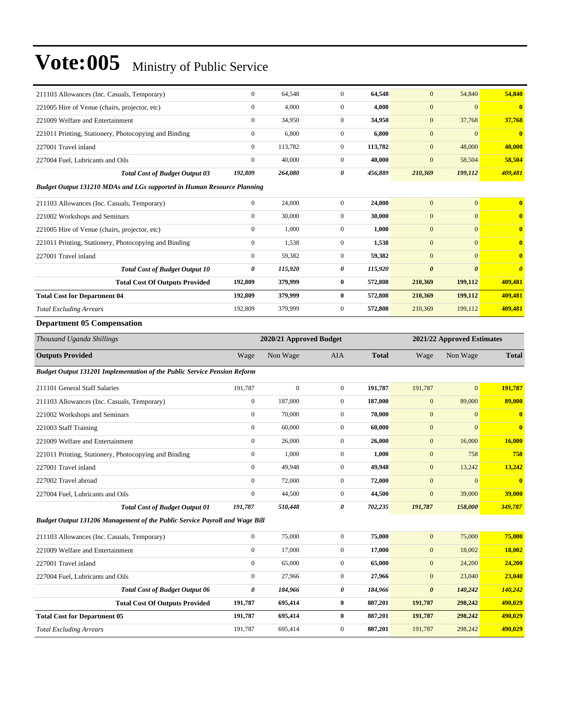| 211103 Allowances (Inc. Casuals, Temporary)                                        | $\boldsymbol{0}$ | 64,548                  | $\boldsymbol{0}$ | 64,548       | $\mathbf{0}$          | 54,840                     | 54,840                  |
|------------------------------------------------------------------------------------|------------------|-------------------------|------------------|--------------|-----------------------|----------------------------|-------------------------|
| 221005 Hire of Venue (chairs, projector, etc)                                      | $\boldsymbol{0}$ | 4,000                   | $\overline{0}$   | 4,000        | $\mathbf{0}$          | $\mathbf{0}$               | $\bf{0}$                |
| 221009 Welfare and Entertainment                                                   | $\boldsymbol{0}$ | 34,950                  | $\mathbf{0}$     | 34,950       | $\mathbf{0}$          | 37,768                     | 37,768                  |
| 221011 Printing, Stationery, Photocopying and Binding                              | $\boldsymbol{0}$ | 6,800                   | $\overline{0}$   | 6,800        | $\boldsymbol{0}$      | $\mathbf{0}$               | $\bf{0}$                |
| 227001 Travel inland                                                               | $\boldsymbol{0}$ | 113,782                 | $\mathbf{0}$     | 113,782      | $\mathbf{0}$          | 48,000                     | 48,000                  |
| 227004 Fuel, Lubricants and Oils                                                   | $\boldsymbol{0}$ | 40,000                  | $\boldsymbol{0}$ | 40,000       | $\mathbf{0}$          | 58,504                     | 58,504                  |
| <b>Total Cost of Budget Output 03</b>                                              | 192,809          | 264,080                 | 0                | 456,889      | 210,369               | 199,112                    | 409,481                 |
| <b>Budget Output 131210 MDAs and LGs supported in Human Resource Planning</b>      |                  |                         |                  |              |                       |                            |                         |
| 211103 Allowances (Inc. Casuals, Temporary)                                        | $\boldsymbol{0}$ | 24,000                  | $\mathbf{0}$     | 24,000       | $\mathbf{0}$          | $\mathbf{0}$               | $\bf{0}$                |
| 221002 Workshops and Seminars                                                      | $\boldsymbol{0}$ | 30,000                  | $\mathbf{0}$     | 30,000       | $\boldsymbol{0}$      | $\mathbf{0}$               | $\bf{0}$                |
| 221005 Hire of Venue (chairs, projector, etc)                                      | $\boldsymbol{0}$ | 1,000                   | $\mathbf{0}$     | 1,000        | $\mathbf{0}$          | $\mathbf{0}$               | $\bf{0}$                |
| 221011 Printing, Stationery, Photocopying and Binding                              | $\boldsymbol{0}$ | 1,538                   | $\overline{0}$   | 1,538        | $\mathbf{0}$          | $\mathbf{0}$               | $\bf{0}$                |
| 227001 Travel inland                                                               | $\boldsymbol{0}$ | 59,382                  | $\boldsymbol{0}$ | 59,382       | $\mathbf{0}$          | $\mathbf{0}$               | $\bf{0}$                |
| <b>Total Cost of Budget Output 10</b>                                              | 0                | 115,920                 | 0                | 115,920      | $\boldsymbol{\theta}$ | $\boldsymbol{\theta}$      | $\boldsymbol{\theta}$   |
| <b>Total Cost Of Outputs Provided</b>                                              | 192,809          | 379,999                 | $\bf{0}$         | 572,808      | 210,369               | 199,112                    | 409,481                 |
| <b>Total Cost for Department 04</b>                                                | 192,809          | 379,999                 | $\bf{0}$         | 572,808      | 210,369               | 199,112                    | 409,481                 |
| <b>Total Excluding Arrears</b>                                                     | 192,809          | 379,999                 | $\boldsymbol{0}$ | 572,808      | 210,369               | 199,112                    | 409,481                 |
| <b>Department 05 Compensation</b>                                                  |                  |                         |                  |              |                       |                            |                         |
| Thousand Uganda Shillings                                                          |                  | 2020/21 Approved Budget |                  |              |                       | 2021/22 Approved Estimates |                         |
| <b>Outputs Provided</b>                                                            | Wage             | Non Wage                | AIA              | <b>Total</b> | Wage                  | Non Wage                   | <b>Total</b>            |
| <b>Budget Output 131201 Implementation of the Public Service Pension Reform</b>    |                  |                         |                  |              |                       |                            |                         |
| 211101 General Staff Salaries                                                      | 191,787          | $\boldsymbol{0}$        | $\overline{0}$   | 191,787      | 191,787               | $\mathbf{0}$               | 191,787                 |
| 211103 Allowances (Inc. Casuals, Temporary)                                        | $\boldsymbol{0}$ | 187,000                 | $\mathbf{0}$     | 187,000      | $\mathbf{0}$          | 89,000                     | 89,000                  |
| 221002 Workshops and Seminars                                                      | $\boldsymbol{0}$ | 70,000                  | $\mathbf{0}$     | 70,000       | $\boldsymbol{0}$      | $\boldsymbol{0}$           | $\bf{0}$                |
| 221003 Staff Training                                                              | $\boldsymbol{0}$ | 60,000                  | $\mathbf{0}$     | 60,000       | $\mathbf{0}$          | $\overline{0}$             | $\overline{\mathbf{0}}$ |
| 221009 Welfare and Entertainment                                                   | $\boldsymbol{0}$ | 26,000                  | $\mathbf{0}$     | 26,000       | $\mathbf{0}$          | 16,000                     | 16,000                  |
| 221011 Printing, Stationery, Photocopying and Binding                              | $\boldsymbol{0}$ | 1,000                   | $\mathbf{0}$     | 1,000        | $\mathbf{0}$          | 758                        | 758                     |
| 227001 Travel inland                                                               | $\boldsymbol{0}$ | 49,948                  | $\mathbf{0}$     | 49,948       | $\mathbf{0}$          | 13,242                     | 13,242                  |
| 227002 Travel abroad                                                               | $\boldsymbol{0}$ | 72,000                  | $\boldsymbol{0}$ | 72,000       | $\mathbf{0}$          | $\boldsymbol{0}$           | $\bf{0}$                |
| 227004 Fuel, Lubricants and Oils                                                   | $\mathbf{0}$     | 44,500                  | $\mathbf{0}$     | 44,500       | $\mathbf{0}$          | 39,000                     | 39,000                  |
| <b>Total Cost of Budget Output 01</b>                                              | 191,787          | 510,448                 | 0                | 702,235      | 191,787               | 158,000                    | 349,787                 |
| <b>Budget Output 131206 Management of the Public Service Payroll and Wage Bill</b> |                  |                         |                  |              |                       |                            |                         |
| 211103 Allowances (Inc. Casuals, Temporary)                                        | $\boldsymbol{0}$ | 75,000                  | $\boldsymbol{0}$ | 75,000       | $\boldsymbol{0}$      | 75,000                     | 75,000                  |
| 221009 Welfare and Entertainment                                                   | $\boldsymbol{0}$ | 17,000                  | $\boldsymbol{0}$ | 17,000       | $\mathbf{0}$          | 18,002                     | 18,002                  |
| 227001 Travel inland                                                               | $\boldsymbol{0}$ | 65,000                  | $\boldsymbol{0}$ | 65,000       | $\boldsymbol{0}$      | 24,200                     | 24,200                  |
| 227004 Fuel. Lubricants and Oils                                                   | $\boldsymbol{0}$ | 27,966                  | $\boldsymbol{0}$ | 27,966       | $\boldsymbol{0}$      | 23,040                     | 23,040                  |
| <b>Total Cost of Budget Output 06</b>                                              | $\pmb{\theta}$   | 184,966                 | 0                | 184,966      | $\pmb{\theta}$        | 140,242                    | 140,242                 |
| <b>Total Cost Of Outputs Provided</b>                                              | 191,787          | 695,414                 | $\bf{0}$         | 887,201      | 191,787               | 298,242                    | 490,029                 |
| <b>Total Cost for Department 05</b>                                                | 191,787          | 695,414                 | $\bf{0}$         | 887,201      | 191,787               | 298,242                    | 490,029                 |
|                                                                                    |                  |                         |                  |              |                       |                            |                         |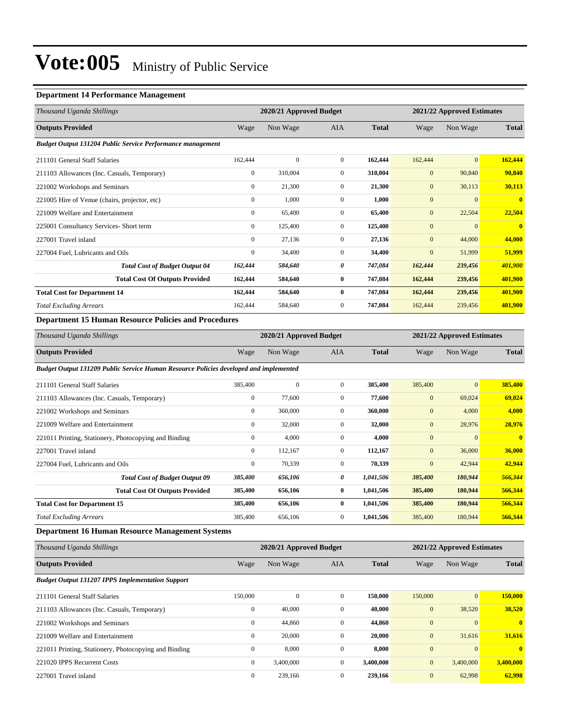#### **Department 14 Performance Management**

| Thousand Uganda Shillings                                   |                  | 2020/21 Approved Budget |                |              |              | 2021/22 Approved Estimates |              |  |
|-------------------------------------------------------------|------------------|-------------------------|----------------|--------------|--------------|----------------------------|--------------|--|
| <b>Outputs Provided</b>                                     | Wage             | Non Wage                | AIA            | <b>Total</b> | Wage         | Non Wage                   | <b>Total</b> |  |
| Budget Output 131204 Public Service Performance management  |                  |                         |                |              |              |                            |              |  |
| 211101 General Staff Salaries                               | 162,444          | $\mathbf{0}$            | $\overline{0}$ | 162,444      | 162,444      | $\overline{0}$             | 162,444      |  |
| 211103 Allowances (Inc. Casuals, Temporary)                 | $\mathbf{0}$     | 310,004                 | $\overline{0}$ | 310,004      | $\mathbf{0}$ | 90,840                     | 90,840       |  |
| 221002 Workshops and Seminars                               | $\mathbf{0}$     | 21,300                  | $\overline{0}$ | 21,300       | $\mathbf{0}$ | 30,113                     | 30,113       |  |
| 221005 Hire of Venue (chairs, projector, etc)               | $\boldsymbol{0}$ | 1,000                   | $\overline{0}$ | 1,000        | $\mathbf{0}$ | $\overline{0}$             | $\bf{0}$     |  |
| 221009 Welfare and Entertainment                            | $\mathbf{0}$     | 65,400                  | $\overline{0}$ | 65,400       | $\mathbf{0}$ | 22,504                     | 22,504       |  |
| 225001 Consultancy Services- Short term                     | $\mathbf{0}$     | 125,400                 | $\overline{0}$ | 125,400      | $\mathbf{0}$ | $\overline{0}$             | $\mathbf{0}$ |  |
| 227001 Travel inland                                        | $\mathbf{0}$     | 27,136                  | $\overline{0}$ | 27,136       | $\mathbf{0}$ | 44,000                     | 44,000       |  |
| 227004 Fuel, Lubricants and Oils                            | $\mathbf{0}$     | 34,400                  | $\overline{0}$ | 34,400       | $\mathbf{0}$ | 51,999                     | 51,999       |  |
| <b>Total Cost of Budget Output 04</b>                       | 162,444          | 584,640                 | 0              | 747,084      | 162,444      | 239,456                    | 401,900      |  |
| <b>Total Cost Of Outputs Provided</b>                       | 162,444          | 584,640                 | $\bf{0}$       | 747,084      | 162,444      | 239,456                    | 401,900      |  |
| <b>Total Cost for Department 14</b>                         | 162,444          | 584,640                 | $\bf{0}$       | 747,084      | 162,444      | 239,456                    | 401,900      |  |
| <b>Total Excluding Arrears</b>                              | 162,444          | 584,640                 | $\overline{0}$ | 747,084      | 162,444      | 239,456                    | 401,900      |  |
| <b>Department 15 Human Resource Policies and Procedures</b> |                  |                         |                |              |              |                            |              |  |

| Thousand Uganda Shillings | 2020/21 Approved Budget |          |     |              |      | 2021/22 Approved Estimates |              |  |
|---------------------------|-------------------------|----------|-----|--------------|------|----------------------------|--------------|--|
| <b>Outputs Provided</b>   | Wage                    | Non Wage | AIA | <b>Total</b> | Wage | Non Wage                   | <b>Total</b> |  |

*Budget Output 131209 Public Service Human Resource Policies developed and implemented*

| 211101 General Staff Salaries                         | 385,400      | $\mathbf{0}$ | $\mathbf{0}$   | 385,400   | 385,400      | $\mathbf{0}$ | 385,400      |
|-------------------------------------------------------|--------------|--------------|----------------|-----------|--------------|--------------|--------------|
| 211103 Allowances (Inc. Casuals, Temporary)           | $\mathbf{0}$ | 77,600       | $\overline{0}$ | 77,600    | $\mathbf{0}$ | 69,024       | 69,024       |
| 221002 Workshops and Seminars                         | $\mathbf{0}$ | 360,000      | $\mathbf{0}$   | 360,000   | $\mathbf{0}$ | 4,000        | 4,000        |
| 221009 Welfare and Entertainment                      | $\mathbf{0}$ | 32,000       | $\mathbf{0}$   | 32,000    | $\mathbf{0}$ | 28,976       | 28,976       |
| 221011 Printing, Stationery, Photocopying and Binding | $\bf{0}$     | 4,000        | $\mathbf{0}$   | 4,000     | $\mathbf{0}$ | $\Omega$     | $\mathbf{0}$ |
| 227001 Travel inland                                  | $\mathbf{0}$ | 112,167      | $\overline{0}$ | 112,167   | $\mathbf{0}$ | 36,000       | 36,000       |
| 227004 Fuel. Lubricants and Oils                      | $\mathbf{0}$ | 70,339       | $\mathbf{0}$   | 70,339    | $\mathbf{0}$ | 42,944       | 42,944       |
| <b>Total Cost of Budget Output 09</b>                 | 385,400      | 656,106      | 0              | 1,041,506 | 385,400      | 180,944      | 566,344      |
| <b>Total Cost Of Outputs Provided</b>                 | 385,400      | 656,106      | $\bf{0}$       | 1,041,506 | 385,400      | 180,944      | 566,344      |
| <b>Total Cost for Department 15</b>                   | 385,400      | 656,106      | 0              | 1,041,506 | 385,400      | 180,944      | 566,344      |
| <b>Total Excluding Arrears</b>                        | 385,400      | 656,106      | $\mathbf{0}$   | 1,041,506 | 385,400      | 180,944      | 566,344      |

#### **Department 16 Human Resource Management Systems**

| Thousand Uganda Shillings                               | 2020/21 Approved Budget |              |              |              |                  | 2021/22 Approved Estimates |              |  |
|---------------------------------------------------------|-------------------------|--------------|--------------|--------------|------------------|----------------------------|--------------|--|
| <b>Outputs Provided</b>                                 | Wage                    | Non Wage     | <b>AIA</b>   | <b>Total</b> | Wage             | Non Wage                   | <b>Total</b> |  |
| <b>Budget Output 131207 IPPS Implementation Support</b> |                         |              |              |              |                  |                            |              |  |
| 211101 General Staff Salaries                           | 150,000                 | $\mathbf{0}$ | $\mathbf{0}$ | 150,000      | 150,000          | $\vert 0 \vert$            | 150,000      |  |
| 211103 Allowances (Inc. Casuals, Temporary)             | $\mathbf{0}$            | 40,000       | $\mathbf{0}$ | 40,000       | $\mathbf{0}$     | 38,520                     | 38,520       |  |
| 221002 Workshops and Seminars                           | $\mathbf{0}$            | 44,860       | $\mathbf{0}$ | 44,860       | $\boldsymbol{0}$ | $\Omega$                   | $\mathbf{0}$ |  |
| 221009 Welfare and Entertainment                        | $\mathbf{0}$            | 20,000       | $\mathbf{0}$ | 20,000       | $\mathbf{0}$     | 31,616                     | 31,616       |  |
| 221011 Printing, Stationery, Photocopying and Binding   | $\mathbf{0}$            | 8,000        | $\mathbf{0}$ | 8,000        | $\mathbf{0}$     | $\Omega$                   | $\mathbf{0}$ |  |
| 221020 IPPS Recurrent Costs                             | $\mathbf{0}$            | 3,400,000    | $\mathbf{0}$ | 3,400,000    | $\mathbf{0}$     | 3,400,000                  | 3,400,000    |  |
| 227001 Travel inland                                    | $\mathbf{0}$            | 239,166      | $\mathbf{0}$ | 239,166      | $\mathbf{0}$     | 62,998                     | 62,998       |  |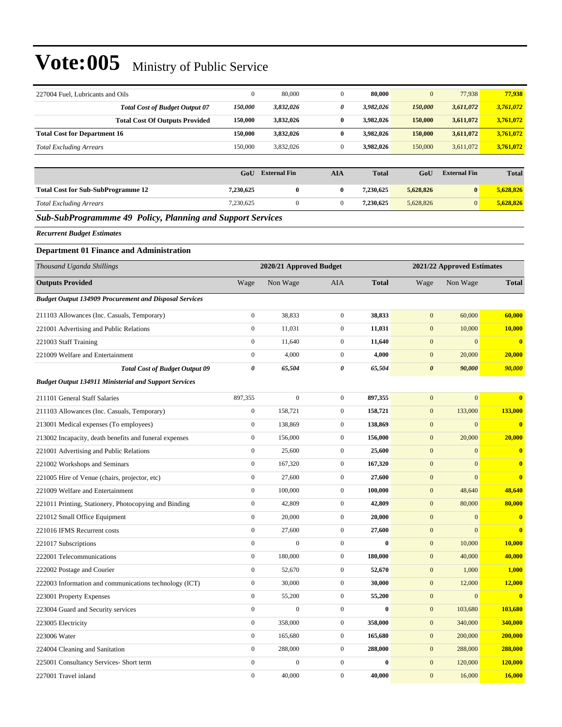| 227004 Fuel, Lubricants and Oils                              | $\boldsymbol{0}$      | 80,000                  | $\boldsymbol{0}$ | 80,000           | $\mathbf{0}$          | 77,938                     | 77,938       |
|---------------------------------------------------------------|-----------------------|-------------------------|------------------|------------------|-----------------------|----------------------------|--------------|
| <b>Total Cost of Budget Output 07</b>                         | 150,000               | 3,832,026               | 0                | 3,982,026        | 150,000               | 3,611,072                  | 3,761,072    |
| <b>Total Cost Of Outputs Provided</b>                         | 150,000               | 3,832,026               | $\boldsymbol{0}$ | 3,982,026        | 150,000               | 3,611,072                  | 3,761,072    |
| <b>Total Cost for Department 16</b>                           | 150,000               | 3,832,026               | $\bf{0}$         | 3,982,026        | 150,000               | 3,611,072                  | 3,761,072    |
| <b>Total Excluding Arrears</b>                                | 150,000               | 3,832,026               | $\boldsymbol{0}$ | 3,982,026        | 150,000               | 3,611,072                  | 3,761,072    |
|                                                               |                       |                         |                  |                  |                       |                            |              |
|                                                               | GoU                   | <b>External Fin</b>     | <b>AIA</b>       | <b>Total</b>     | GoU                   | <b>External Fin</b>        | <b>Total</b> |
| <b>Total Cost for Sub-SubProgramme 12</b>                     | 7,230,625             | $\bf{0}$                | $\bf{0}$         | 7,230,625        | 5,628,826             | $\bf{0}$                   | 5,628,826    |
| <b>Total Excluding Arrears</b>                                | 7,230,625             | $\mathbf{0}$            | $\mathbf{0}$     | 7,230,625        | 5,628,826             | $\overline{0}$             | 5,628,826    |
| Sub-SubProgrammme 49 Policy, Planning and Support Services    |                       |                         |                  |                  |                       |                            |              |
| <b>Recurrent Budget Estimates</b>                             |                       |                         |                  |                  |                       |                            |              |
| <b>Department 01 Finance and Administration</b>               |                       |                         |                  |                  |                       |                            |              |
| Thousand Uganda Shillings                                     |                       | 2020/21 Approved Budget |                  |                  |                       | 2021/22 Approved Estimates |              |
| <b>Outputs Provided</b>                                       | Wage                  | Non Wage                | AIA              | <b>Total</b>     | Wage                  | Non Wage                   | <b>Total</b> |
| <b>Budget Output 134909 Procurement and Disposal Services</b> |                       |                         |                  |                  |                       |                            |              |
|                                                               | $\boldsymbol{0}$      | 38,833                  | $\mathbf{0}$     | 38,833           | $\mathbf{0}$          | 60,000                     | 60,000       |
| 211103 Allowances (Inc. Casuals, Temporary)                   | $\boldsymbol{0}$      | 11,031                  | $\boldsymbol{0}$ | 11,031           | $\boldsymbol{0}$      | 10,000                     | 10,000       |
| 221001 Advertising and Public Relations                       | $\boldsymbol{0}$      |                         | $\boldsymbol{0}$ |                  | $\mathbf{0}$          | $\boldsymbol{0}$           |              |
| 221003 Staff Training                                         |                       | 11,640                  |                  | 11,640           |                       |                            | $\bf{0}$     |
| 221009 Welfare and Entertainment                              | $\boldsymbol{0}$      | 4,000                   | $\mathbf{0}$     | 4,000            | $\mathbf{0}$          | 20,000                     | 20,000       |
| <b>Total Cost of Budget Output 09</b>                         | $\boldsymbol{\theta}$ | 65,504                  | 0                | 65,504           | $\boldsymbol{\theta}$ | 90,000                     | 90,000       |
| <b>Budget Output 134911 Ministerial and Support Services</b>  |                       |                         |                  |                  |                       |                            |              |
| 211101 General Staff Salaries                                 | 897,355               | $\mathbf{0}$            | $\mathbf{0}$     | 897,355          | $\mathbf{0}$          | $\mathbf{0}$               | $\bf{0}$     |
| 211103 Allowances (Inc. Casuals, Temporary)                   | $\boldsymbol{0}$      | 158,721                 | $\boldsymbol{0}$ | 158,721          | $\mathbf{0}$          | 133,000                    | 133,000      |
| 213001 Medical expenses (To employees)                        | $\boldsymbol{0}$      | 138,869                 | $\boldsymbol{0}$ | 138,869          | $\boldsymbol{0}$      | $\boldsymbol{0}$           | $\bf{0}$     |
| 213002 Incapacity, death benefits and funeral expenses        | $\boldsymbol{0}$      | 156,000                 | $\mathbf{0}$     | 156,000          | $\boldsymbol{0}$      | 20,000                     | 20,000       |
| 221001 Advertising and Public Relations                       | $\boldsymbol{0}$      | 25,600                  | $\boldsymbol{0}$ | 25,600           | $\boldsymbol{0}$      | $\mathbf{0}$               | $\bf{0}$     |
| 221002 Workshops and Seminars                                 | $\boldsymbol{0}$      | 167,320                 | $\mathbf{0}$     | 167,320          | $\mathbf{0}$          | $\boldsymbol{0}$           | $\bf{0}$     |
| 221005 Hire of Venue (chairs, projector, etc)                 | $\boldsymbol{0}$      | 27,600                  | $\boldsymbol{0}$ | 27,600           | $\boldsymbol{0}$      | $\mathbf{0}$               | $\bf{0}$     |
| 221009 Welfare and Entertainment                              | $\boldsymbol{0}$      | 100,000                 | $\boldsymbol{0}$ | 100.000          | $\mathbf{0}$          | 48,640                     | 48,640       |
| 221011 Printing, Stationery, Photocopying and Binding         | $\boldsymbol{0}$      | 42,809                  | $\mathbf{0}$     | 42,809           | $\boldsymbol{0}$      | 80,000                     | 80,000       |
| 221012 Small Office Equipment                                 | $\boldsymbol{0}$      | 20,000                  | $\boldsymbol{0}$ | 20,000           | $\boldsymbol{0}$      | $\mathbf{0}$               | $\bf{0}$     |
| 221016 IFMS Recurrent costs                                   | $\boldsymbol{0}$      | 27,600                  | $\boldsymbol{0}$ | 27,600           | $\boldsymbol{0}$      | $\boldsymbol{0}$           | $\mathbf{0}$ |
| 221017 Subscriptions                                          | $\boldsymbol{0}$      | $\boldsymbol{0}$        | $\boldsymbol{0}$ | $\bf{0}$         | $\boldsymbol{0}$      | 10,000                     | 10,000       |
| 222001 Telecommunications                                     | $\boldsymbol{0}$      | 180,000                 | $\boldsymbol{0}$ | 180,000          | $\boldsymbol{0}$      | 40,000                     | 40,000       |
| 222002 Postage and Courier                                    | $\boldsymbol{0}$      | 52,670                  | $\boldsymbol{0}$ | 52,670           | $\boldsymbol{0}$      | 1,000                      | 1,000        |
| 222003 Information and communications technology (ICT)        | $\boldsymbol{0}$      | 30,000                  | $\boldsymbol{0}$ | 30,000           | $\boldsymbol{0}$      | 12,000                     | 12,000       |
| 223001 Property Expenses                                      | $\boldsymbol{0}$      | 55,200                  | $\boldsymbol{0}$ | 55,200           | $\boldsymbol{0}$      | $\boldsymbol{0}$           | $\mathbf{0}$ |
| 223004 Guard and Security services                            | $\boldsymbol{0}$      | $\boldsymbol{0}$        | $\boldsymbol{0}$ | $\boldsymbol{0}$ | $\boldsymbol{0}$      | 103,680                    | 103,680      |
| 223005 Electricity                                            | $\boldsymbol{0}$      | 358,000                 | $\boldsymbol{0}$ | 358,000          | $\boldsymbol{0}$      | 340,000                    | 340,000      |
| 223006 Water                                                  | $\boldsymbol{0}$      | 165,680                 | $\boldsymbol{0}$ | 165,680          | $\boldsymbol{0}$      | 200,000                    | 200,000      |
| 224004 Cleaning and Sanitation                                | $\boldsymbol{0}$      | 288,000                 | $\boldsymbol{0}$ | 288,000          | $\boldsymbol{0}$      | 288,000                    | 288,000      |
| 225001 Consultancy Services- Short term                       | $\boldsymbol{0}$      | $\boldsymbol{0}$        | $\boldsymbol{0}$ | $\boldsymbol{0}$ | $\boldsymbol{0}$      | 120,000                    | 120,000      |
| 227001 Travel inland                                          | $\boldsymbol{0}$      | 40,000                  | $\boldsymbol{0}$ | 40,000           | $\boldsymbol{0}$      | 16,000                     | 16,000       |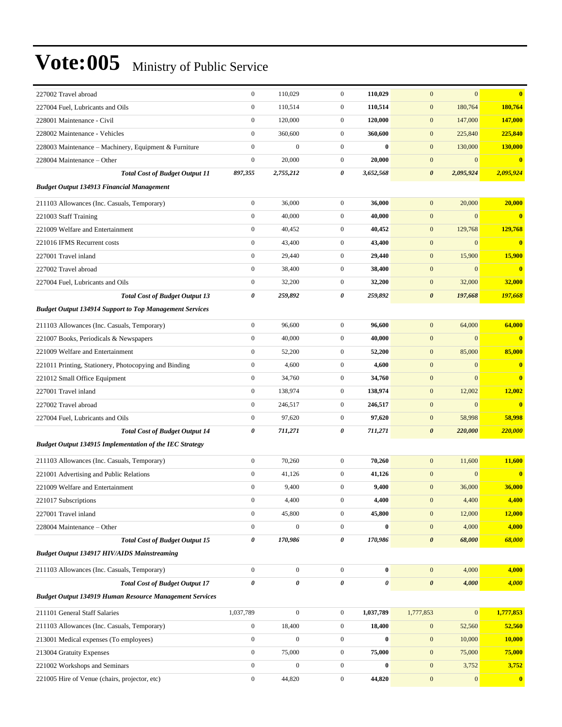| 227002 Travel abroad                                                         | $\boldsymbol{0}$ | 110,029          | $\mathbf{0}$     | 110.029      | $\mathbf{0}$              | $\mathbf{0}$ | $\mathbf{0}$            |
|------------------------------------------------------------------------------|------------------|------------------|------------------|--------------|---------------------------|--------------|-------------------------|
| 227004 Fuel, Lubricants and Oils                                             | $\boldsymbol{0}$ | 110,514          | $\mathbf{0}$     | 110,514      | $\mathbf{0}$              | 180,764      | 180,764                 |
| 228001 Maintenance - Civil                                                   | $\boldsymbol{0}$ | 120,000          | $\overline{0}$   | 120,000      | $\mathbf{0}$              | 147,000      | 147,000                 |
| 228002 Maintenance - Vehicles                                                | $\mathbf{0}$     | 360,600          | $\mathbf{0}$     | 360,600      | $\mathbf{0}$              | 225,840      | 225,840                 |
| 228003 Maintenance – Machinery, Equipment & Furniture                        | $\boldsymbol{0}$ | $\mathbf{0}$     | $\overline{0}$   | $\mathbf{0}$ | $\mathbf{0}$              | 130,000      | 130,000                 |
| 228004 Maintenance – Other                                                   | $\mathbf{0}$     | 20,000           | $\mathbf{0}$     | 20,000       | $\mathbf{0}$              | $\mathbf{0}$ | $\bf{0}$                |
| <b>Total Cost of Budget Output 11</b>                                        | 897,355          | 2,755,212        | 0                | 3,652,568    | $\boldsymbol{\theta}$     | 2,095,924    | 2,095,924               |
| <b>Budget Output 134913 Financial Management</b>                             |                  |                  |                  |              |                           |              |                         |
| 211103 Allowances (Inc. Casuals, Temporary)                                  | $\boldsymbol{0}$ | 36,000           | $\mathbf{0}$     | 36,000       | $\mathbf{0}$              | 20,000       | 20,000                  |
| 221003 Staff Training                                                        | $\boldsymbol{0}$ | 40,000           | $\overline{0}$   | 40,000       | $\mathbf{0}$              | $\mathbf{0}$ | $\bf{0}$                |
| 221009 Welfare and Entertainment                                             | $\boldsymbol{0}$ | 40,452           | $\mathbf{0}$     | 40,452       | $\mathbf{0}$              | 129,768      | 129,768                 |
| 221016 IFMS Recurrent costs                                                  | $\boldsymbol{0}$ | 43,400           | $\overline{0}$   | 43,400       | $\mathbf{0}$              | $\mathbf{0}$ | $\bf{0}$                |
| 227001 Travel inland                                                         | $\boldsymbol{0}$ | 29,440           | $\mathbf{0}$     | 29,440       | $\mathbf{0}$              | 15,900       | 15,900                  |
| 227002 Travel abroad                                                         | $\boldsymbol{0}$ | 38,400           | $\mathbf{0}$     | 38,400       | $\mathbf{0}$              | $\mathbf{0}$ | $\overline{\mathbf{0}}$ |
| 227004 Fuel, Lubricants and Oils                                             | $\boldsymbol{0}$ | 32,200           | $\mathbf{0}$     | 32,200       | $\mathbf{0}$              | 32,000       | 32,000                  |
| <b>Total Cost of Budget Output 13</b>                                        | 0                | 259,892          | 0                | 259,892      | $\boldsymbol{\theta}$     | 197,668      | 197,668                 |
| <b>Budget Output 134914 Support to Top Management Services</b>               |                  |                  |                  |              |                           |              |                         |
| 211103 Allowances (Inc. Casuals, Temporary)                                  | $\boldsymbol{0}$ | 96,600           | $\overline{0}$   | 96,600       | $\mathbf{0}$              | 64,000       | 64,000                  |
| 221007 Books, Periodicals & Newspapers                                       | $\boldsymbol{0}$ | 40,000           | $\overline{0}$   | 40,000       | $\mathbf{0}$              | $\mathbf{0}$ | $\mathbf{0}$            |
| 221009 Welfare and Entertainment                                             | $\boldsymbol{0}$ | 52,200           | $\overline{0}$   | 52,200       | $\mathbf{0}$              | 85,000       | 85,000                  |
| 221011 Printing, Stationery, Photocopying and Binding                        | $\boldsymbol{0}$ | 4,600            | $\mathbf{0}$     | 4,600        | $\mathbf{0}$              | $\mathbf{0}$ | $\bf{0}$                |
| 221012 Small Office Equipment                                                | $\boldsymbol{0}$ | 34,760           | $\mathbf{0}$     | 34,760       | $\boldsymbol{0}$          | $\mathbf{0}$ | $\overline{\mathbf{0}}$ |
| 227001 Travel inland                                                         | $\mathbf{0}$     | 138,974          | $\overline{0}$   | 138,974      | $\mathbf{0}$              | 12,002       | 12,002                  |
| 227002 Travel abroad                                                         | $\boldsymbol{0}$ | 246,517          | $\mathbf{0}$     | 246,517      | $\mathbf{0}$              | $\mathbf{0}$ | $\bf{0}$                |
| 227004 Fuel, Lubricants and Oils                                             | $\boldsymbol{0}$ | 97,620           | $\overline{0}$   | 97,620       | $\mathbf{0}$              | 58,998       | 58,998                  |
| <b>Total Cost of Budget Output 14</b>                                        | 0                | 711,271          | 0                | 711,271      | $\boldsymbol{\theta}$     | 220,000      | 220,000                 |
| <b>Budget Output 134915 Implementation of the IEC Strategy</b>               |                  |                  |                  |              |                           |              |                         |
| 211103 Allowances (Inc. Casuals, Temporary)                                  | $\boldsymbol{0}$ | 70,260           | $\overline{0}$   | 70,260       | $\mathbf{0}$              | 11,600       | 11,600                  |
| 221001 Advertising and Public Relations                                      | $\boldsymbol{0}$ | 41,126           | $\overline{0}$   | 41,126       | $\mathbf{0}$              | $\mathbf{0}$ | $\overline{\mathbf{0}}$ |
| 221009 Welfare and Entertainment                                             | $\boldsymbol{0}$ | 9,400            | $\mathbf{0}$     | 9,400        | $\mathbf{0}$              | 36,000       | 36,000                  |
| 221017 Subscriptions                                                         | $\boldsymbol{0}$ | 4,400            | $\boldsymbol{0}$ | 4,400        | $\mathbf{0}$              | 4,400        | 4,400                   |
| 227001 Travel inland                                                         | $\mathbf{0}$     | 45,800           | $\overline{0}$   | 45,800       | $\mathbf{0}$              | 12,000       | 12,000                  |
| 228004 Maintenance - Other                                                   | $\boldsymbol{0}$ | $\mathbf{0}$     | $\mathbf{0}$     | $\mathbf{0}$ | $\mathbf{0}$              | 4,000        | 4,000                   |
| <b>Total Cost of Budget Output 15</b>                                        | 0                | 170,986          | 0                | 170,986      | $\boldsymbol{\theta}$     | 68,000       | 68,000                  |
| <b>Budget Output 134917 HIV/AIDS Mainstreaming</b>                           |                  |                  |                  |              |                           |              |                         |
| 211103 Allowances (Inc. Casuals, Temporary)                                  | $\boldsymbol{0}$ | $\boldsymbol{0}$ | $\mathbf{0}$     | $\bf{0}$     | $\mathbf{0}$              | 4,000        | 4,000                   |
| <b>Total Cost of Budget Output 17</b>                                        | $\pmb{\theta}$   | 0                | 0                | 0            | $\boldsymbol{\theta}$     | 4,000        | 4,000                   |
| <b>Budget Output 134919 Human Resource Management Services</b>               |                  |                  |                  |              |                           |              |                         |
|                                                                              | 1,037,789        | $\mathbf{0}$     | $\overline{0}$   | 1,037,789    |                           | $\mathbf{0}$ | 1,777,853               |
| 211101 General Staff Salaries<br>211103 Allowances (Inc. Casuals, Temporary) | $\boldsymbol{0}$ | 18,400           | $\mathbf{0}$     | 18,400       | 1,777,853<br>$\mathbf{0}$ | 52,560       | 52,560                  |
| 213001 Medical expenses (To employees)                                       | $\boldsymbol{0}$ | $\boldsymbol{0}$ | $\boldsymbol{0}$ | $\bf{0}$     | $\boldsymbol{0}$          | 10,000       | <b>10,000</b>           |
| 213004 Gratuity Expenses                                                     | $\boldsymbol{0}$ | 75,000           | $\boldsymbol{0}$ | 75,000       | $\mathbf{0}$              | 75,000       | 75,000                  |
| 221002 Workshops and Seminars                                                | $\boldsymbol{0}$ | $\boldsymbol{0}$ | $\boldsymbol{0}$ | $\bf{0}$     | $\mathbf{0}$              | 3,752        | 3,752                   |
| 221005 Hire of Venue (chairs, projector, etc)                                | $\mathbf{0}$     | 44,820           | $\overline{0}$   | 44,820       | $\mathbf{0}$              | 0            | $\overline{\mathbf{0}}$ |
|                                                                              |                  |                  |                  |              |                           |              |                         |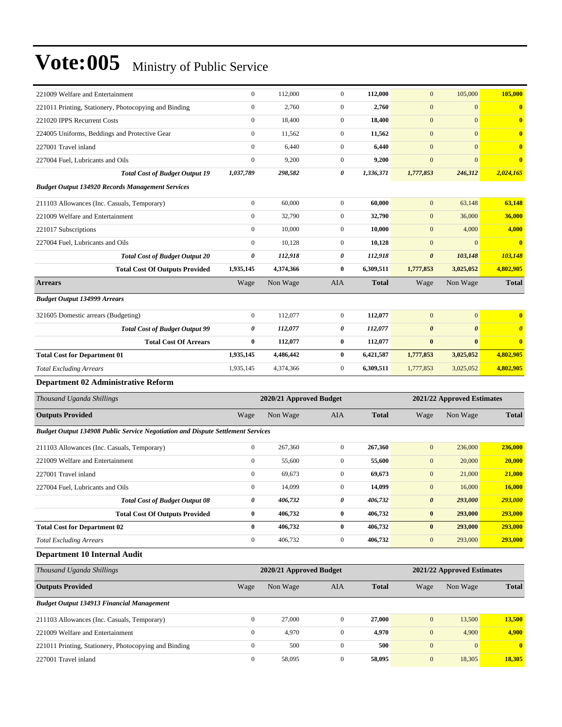| 221009 Welfare and Entertainment                                                       | $\boldsymbol{0}$ | 112,000                 | $\boldsymbol{0}$ | 112,000      | $\boldsymbol{0}$      | 105,000                    | 105,000               |
|----------------------------------------------------------------------------------------|------------------|-------------------------|------------------|--------------|-----------------------|----------------------------|-----------------------|
| 221011 Printing, Stationery, Photocopying and Binding                                  | $\boldsymbol{0}$ | 2,760                   | $\boldsymbol{0}$ | 2,760        | $\boldsymbol{0}$      | $\boldsymbol{0}$           | $\bf{0}$              |
| 221020 IPPS Recurrent Costs                                                            | $\boldsymbol{0}$ | 18,400                  | $\boldsymbol{0}$ | 18,400       | $\mathbf{0}$          | $\mathbf{0}$               | $\bf{0}$              |
| 224005 Uniforms, Beddings and Protective Gear                                          | $\boldsymbol{0}$ | 11,562                  | $\boldsymbol{0}$ | 11,562       | $\boldsymbol{0}$      | $\mathbf{0}$               | $\bf{0}$              |
| 227001 Travel inland                                                                   | $\boldsymbol{0}$ | 6,440                   | $\boldsymbol{0}$ | 6,440        | $\boldsymbol{0}$      | $\mathbf{0}$               | $\bf{0}$              |
| 227004 Fuel, Lubricants and Oils                                                       | $\boldsymbol{0}$ | 9,200                   | $\overline{0}$   | 9,200        | $\boldsymbol{0}$      | $\mathbf{0}$               | $\bf{0}$              |
| <b>Total Cost of Budget Output 19</b>                                                  | 1,037,789        | 298,582                 | 0                | 1,336,371    | 1,777,853             | 246,312                    | 2,024,165             |
| <b>Budget Output 134920 Records Management Services</b>                                |                  |                         |                  |              |                       |                            |                       |
| 211103 Allowances (Inc. Casuals, Temporary)                                            | $\boldsymbol{0}$ | 60,000                  | $\boldsymbol{0}$ | 60,000       | $\boldsymbol{0}$      | 63,148                     | 63,148                |
| 221009 Welfare and Entertainment                                                       | $\boldsymbol{0}$ | 32,790                  | $\boldsymbol{0}$ | 32,790       | $\boldsymbol{0}$      | 36,000                     | 36,000                |
| 221017 Subscriptions                                                                   | $\mathbf{0}$     | 10,000                  | $\boldsymbol{0}$ | 10,000       | $\mathbf{0}$          | 4,000                      | 4,000                 |
| 227004 Fuel, Lubricants and Oils                                                       | $\boldsymbol{0}$ | 10,128                  | $\boldsymbol{0}$ | 10,128       | $\mathbf{0}$          | $\mathbf{0}$               | $\mathbf{0}$          |
| <b>Total Cost of Budget Output 20</b>                                                  | $\pmb{\theta}$   | 112,918                 | 0                | 112,918      | $\boldsymbol{\theta}$ | 103,148                    | 103,148               |
| <b>Total Cost Of Outputs Provided</b>                                                  | 1,935,145        | 4,374,366               | $\bf{0}$         | 6,309,511    | 1,777,853             | 3,025,052                  | 4,802,905             |
| <b>Arrears</b>                                                                         | Wage             | Non Wage                | <b>AIA</b>       | <b>Total</b> | Wage                  | Non Wage                   | <b>Total</b>          |
| <b>Budget Output 134999 Arrears</b>                                                    |                  |                         |                  |              |                       |                            |                       |
| 321605 Domestic arrears (Budgeting)                                                    | $\boldsymbol{0}$ | 112,077                 | $\boldsymbol{0}$ | 112,077      | $\mathbf{0}$          | $\boldsymbol{0}$           | $\bf{0}$              |
| <b>Total Cost of Budget Output 99</b>                                                  | 0                | 112,077                 | 0                | 112,077      | $\boldsymbol{\theta}$ | $\boldsymbol{\theta}$      | $\boldsymbol{\theta}$ |
| <b>Total Cost Of Arrears</b>                                                           | $\bf{0}$         | 112,077                 | $\bf{0}$         | 112,077      | $\bf{0}$              | $\bf{0}$                   | $\mathbf{0}$          |
| <b>Total Cost for Department 01</b>                                                    | 1,935,145        | 4,486,442               | $\bf{0}$         | 6,421,587    | 1,777,853             | 3,025,052                  | 4,802,905             |
| <b>Total Excluding Arrears</b>                                                         | 1,935,145        | 4,374,366               | $\boldsymbol{0}$ | 6,309,511    | 1,777,853             | 3,025,052                  | 4,802,905             |
|                                                                                        |                  |                         |                  |              |                       |                            |                       |
| Department 02 Administrative Reform                                                    |                  |                         |                  |              |                       |                            |                       |
| Thousand Uganda Shillings                                                              |                  | 2020/21 Approved Budget |                  |              |                       | 2021/22 Approved Estimates |                       |
| <b>Outputs Provided</b>                                                                | Wage             | Non Wage                | <b>AIA</b>       | <b>Total</b> | Wage                  | Non Wage                   | <b>Total</b>          |
| <b>Budget Output 134908 Public Service Negotiation and Dispute Settlement Services</b> |                  |                         |                  |              |                       |                            |                       |
| 211103 Allowances (Inc. Casuals, Temporary)                                            | $\boldsymbol{0}$ | 267,360                 | $\boldsymbol{0}$ | 267,360      | $\boldsymbol{0}$      | 236,000                    | 236,000               |
| 221009 Welfare and Entertainment                                                       | $\boldsymbol{0}$ | 55,600                  | $\boldsymbol{0}$ | 55,600       | $\boldsymbol{0}$      | 20,000                     | 20,000                |
| 227001 Travel inland                                                                   | $\boldsymbol{0}$ | 69,673                  | $\boldsymbol{0}$ | 69,673       | $\mathbf{0}$          | 21,000                     | 21,000                |
| 227004 Fuel, Lubricants and Oils                                                       | $\boldsymbol{0}$ | 14,099                  | $\boldsymbol{0}$ | 14,099       | $\mathbf{0}$          | 16,000                     | 16,000                |
| <b>Total Cost of Budget Output 08</b>                                                  | 0                | 406,732                 | 0                | 406,732      | $\boldsymbol{\theta}$ | 293,000                    | 293,000               |
| <b>Total Cost Of Outputs Provided</b>                                                  | $\bf{0}$         | 406,732                 | $\pmb{0}$        | 406,732      | $\bf{0}$              | 293,000                    | 293,000               |
| <b>Total Cost for Department 02</b>                                                    | $\bf{0}$         | 406,732                 | $\bf{0}$         | 406,732      | $\pmb{0}$             | 293,000                    | 293,000               |
| <b>Total Excluding Arrears</b>                                                         | $\boldsymbol{0}$ | 406,732                 | $\boldsymbol{0}$ | 406,732      | $\boldsymbol{0}$      | 293,000                    | 293,000               |
| Department 10 Internal Audit                                                           |                  |                         |                  |              |                       |                            |                       |
| Thousand Uganda Shillings                                                              |                  | 2020/21 Approved Budget |                  |              |                       | 2021/22 Approved Estimates |                       |
| <b>Outputs Provided</b>                                                                | Wage             | Non Wage                | AIA              | <b>Total</b> | Wage                  | Non Wage                   | <b>Total</b>          |
| <b>Budget Output 134913 Financial Management</b>                                       |                  |                         |                  |              |                       |                            |                       |
| 211103 Allowances (Inc. Casuals, Temporary)                                            | $\boldsymbol{0}$ | 27,000                  | $\boldsymbol{0}$ | 27,000       | $\boldsymbol{0}$      | 13,500                     | 13,500                |
| 221009 Welfare and Entertainment                                                       | $\boldsymbol{0}$ | 4,970                   | $\boldsymbol{0}$ | 4,970        | $\boldsymbol{0}$      | 4,900                      | 4,900                 |
| 221011 Printing, Stationery, Photocopying and Binding                                  | $\boldsymbol{0}$ | 500                     | $\boldsymbol{0}$ | 500          | $\mathbf{0}$          | $\boldsymbol{0}$           | $\mathbf{0}$          |
| 227001 Travel inland                                                                   | $\boldsymbol{0}$ | 58,095                  | $\boldsymbol{0}$ | 58,095       | $\boldsymbol{0}$      | 18,305                     | 18,305                |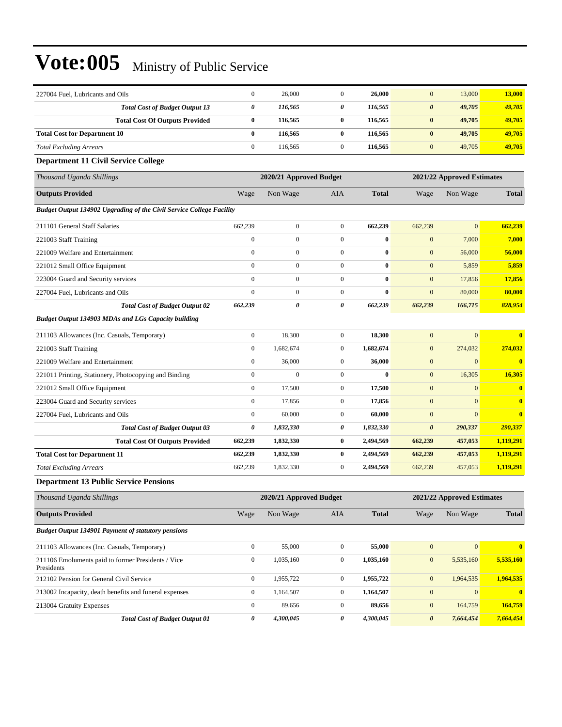| 227004 Fuel, Lubricants and Oils                                            | $\boldsymbol{0}$                                      | 26,000                  | $\boldsymbol{0}$ | 26,000       | $\mathbf{0}$          | 13,000                     | 13,000       |
|-----------------------------------------------------------------------------|-------------------------------------------------------|-------------------------|------------------|--------------|-----------------------|----------------------------|--------------|
| <b>Total Cost of Budget Output 13</b>                                       | 0                                                     | 116,565                 | 0                | 116,565      | $\boldsymbol{\theta}$ | 49,705                     | 49,705       |
| <b>Total Cost Of Outputs Provided</b>                                       | 0                                                     | 116,565                 | $\bf{0}$         | 116,565      | $\pmb{0}$             | 49,705                     | 49,705       |
| <b>Total Cost for Department 10</b>                                         | $\bf{0}$                                              | 116,565                 | $\bf{0}$         | 116,565      | $\bf{0}$              | 49,705                     | 49,705       |
| <b>Total Excluding Arrears</b>                                              | $\boldsymbol{0}$                                      | 116,565                 | $\boldsymbol{0}$ | 116,565      | $\mathbf{0}$          | 49,705                     | 49,705       |
| <b>Department 11 Civil Service College</b>                                  |                                                       |                         |                  |              |                       |                            |              |
| Thousand Uganda Shillings                                                   | 2020/21 Approved Budget<br>2021/22 Approved Estimates |                         |                  |              |                       |                            |              |
| <b>Outputs Provided</b>                                                     | Wage                                                  | Non Wage                | AIA              | <b>Total</b> | Wage                  | Non Wage                   | <b>Total</b> |
| <b>Budget Output 134902 Upgrading of the Civil Service College Facility</b> |                                                       |                         |                  |              |                       |                            |              |
| 211101 General Staff Salaries                                               | 662,239                                               | $\boldsymbol{0}$        | $\boldsymbol{0}$ | 662,239      | 662,239               | $\overline{0}$             | 662,239      |
| 221003 Staff Training                                                       | $\boldsymbol{0}$                                      | $\boldsymbol{0}$        | $\boldsymbol{0}$ | $\bf{0}$     | $\boldsymbol{0}$      | 7,000                      | 7,000        |
| 221009 Welfare and Entertainment                                            | $\boldsymbol{0}$                                      | $\mathbf{0}$            | $\boldsymbol{0}$ | $\bf{0}$     | $\boldsymbol{0}$      | 56,000                     | 56,000       |
| 221012 Small Office Equipment                                               | $\overline{0}$                                        | $\boldsymbol{0}$        | $\boldsymbol{0}$ | $\bf{0}$     | $\mathbf{0}$          | 5,859                      | 5,859        |
| 223004 Guard and Security services                                          | $\overline{0}$                                        | $\boldsymbol{0}$        | $\boldsymbol{0}$ | $\bf{0}$     | $\mathbf{0}$          | 17,856                     | 17,856       |
| 227004 Fuel, Lubricants and Oils                                            | $\overline{0}$                                        | $\mathbf{0}$            | $\boldsymbol{0}$ | $\bf{0}$     | $\mathbf{0}$          | 80,000                     | 80,000       |
| <b>Total Cost of Budget Output 02</b>                                       | 662,239                                               | 0                       | 0                | 662,239      | 662,239               | 166,715                    | 828,954      |
| <b>Budget Output 134903 MDAs and LGs Capacity building</b>                  |                                                       |                         |                  |              |                       |                            |              |
| 211103 Allowances (Inc. Casuals, Temporary)                                 | $\boldsymbol{0}$                                      | 18,300                  | $\boldsymbol{0}$ | 18,300       | $\mathbf{0}$          | $\overline{0}$             |              |
| 221003 Staff Training                                                       | $\boldsymbol{0}$                                      | 1,682,674               | $\boldsymbol{0}$ | 1,682,674    | $\boldsymbol{0}$      | 274,032                    | 274,032      |
| 221009 Welfare and Entertainment                                            | $\boldsymbol{0}$                                      | 36,000                  | $\boldsymbol{0}$ | 36,000       | $\boldsymbol{0}$      | $\boldsymbol{0}$           | $\bf{0}$     |
| 221011 Printing, Stationery, Photocopying and Binding                       | $\boldsymbol{0}$                                      | $\mathbf{0}$            | $\boldsymbol{0}$ | $\bf{0}$     | $\boldsymbol{0}$      | 16,305                     | 16,305       |
| 221012 Small Office Equipment                                               | $\boldsymbol{0}$                                      | 17,500                  | $\boldsymbol{0}$ | 17,500       | $\boldsymbol{0}$      | $\boldsymbol{0}$           | $\bf{0}$     |
| 223004 Guard and Security services                                          | $\boldsymbol{0}$                                      | 17,856                  | $\boldsymbol{0}$ | 17,856       | $\boldsymbol{0}$      | $\theta$                   | $\bf{0}$     |
| 227004 Fuel, Lubricants and Oils                                            | $\boldsymbol{0}$                                      | 60,000                  | $\boldsymbol{0}$ | 60,000       | $\boldsymbol{0}$      | $\overline{0}$             | $\bf{0}$     |
| <b>Total Cost of Budget Output 03</b>                                       | 0                                                     | 1,832,330               | 0                | 1,832,330    | $\boldsymbol{\theta}$ | 290,337                    | 290,337      |
| <b>Total Cost Of Outputs Provided</b>                                       | 662,239                                               | 1,832,330               | $\bf{0}$         | 2,494,569    | 662,239               | 457,053                    | 1,119,291    |
| <b>Total Cost for Department 11</b>                                         | 662,239                                               | 1,832,330               | $\bf{0}$         | 2,494,569    | 662,239               | 457,053                    | 1,119,291    |
| <b>Total Excluding Arrears</b>                                              | 662,239                                               | 1,832,330               | $\boldsymbol{0}$ | 2,494,569    | 662,239               | 457,053                    | 1,119,291    |
| <b>Department 13 Public Service Pensions</b>                                |                                                       |                         |                  |              |                       |                            |              |
| Thousand Uganda Shillings                                                   |                                                       | 2020/21 Approved Budget |                  |              |                       | 2021/22 Approved Estimates |              |
| <b>Outputs Provided</b>                                                     | Wage                                                  | Non Wage                | AIA              | <b>Total</b> | Wage                  | Non Wage                   | <b>Total</b> |
| <b>Budget Output 134901 Payment of statutory pensions</b>                   |                                                       |                         |                  |              |                       |                            |              |
| 211103 Allowances (Inc. Casuals, Temporary)                                 | $\boldsymbol{0}$                                      | 55,000                  | $\boldsymbol{0}$ | 55,000       | $\mathbf{0}$          | $\boldsymbol{0}$           | $\bf{0}$     |
| 211106 Emoluments paid to former Presidents / Vice<br>Presidents            | $\boldsymbol{0}$                                      | 1,035,160               | $\boldsymbol{0}$ | 1,035,160    | $\boldsymbol{0}$      | 5,535,160                  | 5,535,160    |
| 212102 Pension for General Civil Service                                    | $\boldsymbol{0}$                                      | 1,955,722               | $\boldsymbol{0}$ | 1,955,722    | $\mathbf{0}$          | 1,964,535                  | 1,964,535    |
| 213002 Incapacity, death benefits and funeral expenses                      | $\boldsymbol{0}$                                      | 1,164,507               | $\boldsymbol{0}$ | 1,164,507    | $\mathbf{0}$          | $\mathbf{0}$               | $\bf{0}$     |
| 213004 Gratuity Expenses                                                    | $\boldsymbol{0}$                                      | 89,656                  | $\mathbf{0}$     | 89,656       | $\mathbf{0}$          | 164,759                    | 164,759      |
| <b>Total Cost of Budget Output 01</b>                                       | $\pmb{\theta}$                                        | 4,300,045               | 0                | 4,300,045    | $\boldsymbol{\theta}$ | 7,664,454                  | 7,664,454    |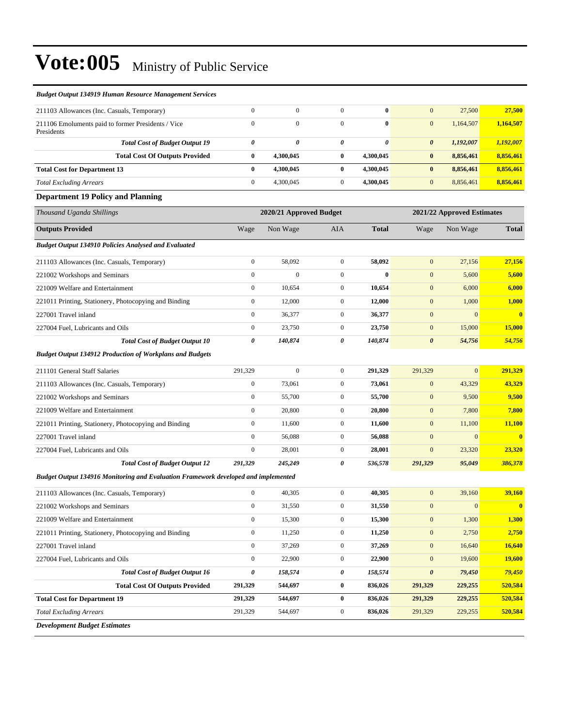| <b>Budget Output 134919 Human Resource Management Services</b>                     |                                                       |                  |                  |              |                       |                  |               |
|------------------------------------------------------------------------------------|-------------------------------------------------------|------------------|------------------|--------------|-----------------------|------------------|---------------|
| 211103 Allowances (Inc. Casuals, Temporary)                                        | $\boldsymbol{0}$                                      | $\boldsymbol{0}$ | $\overline{0}$   | $\bf{0}$     | $\boldsymbol{0}$      | 27,500           | 27,500        |
| 211106 Emoluments paid to former Presidents / Vice<br>Presidents                   | $\mathbf{0}$                                          | $\boldsymbol{0}$ | $\overline{0}$   | $\bf{0}$     | $\mathbf{0}$          | 1,164,507        | 1,164,507     |
| <b>Total Cost of Budget Output 19</b>                                              | 0                                                     | 0                | 0                | 0            | $\boldsymbol{\theta}$ | 1,192,007        | 1,192,007     |
| <b>Total Cost Of Outputs Provided</b>                                              | $\bf{0}$                                              | 4,300,045        | $\bf{0}$         | 4,300,045    | $\bf{0}$              | 8,856,461        | 8,856,461     |
| <b>Total Cost for Department 13</b>                                                | $\bf{0}$                                              | 4,300,045        | $\bf{0}$         | 4,300,045    | $\bf{0}$              | 8,856,461        | 8,856,461     |
| <b>Total Excluding Arrears</b>                                                     | $\boldsymbol{0}$                                      | 4,300,045        | $\mathbf{0}$     | 4,300,045    | $\boldsymbol{0}$      | 8,856,461        | 8,856,461     |
| <b>Department 19 Policy and Planning</b>                                           |                                                       |                  |                  |              |                       |                  |               |
| Thousand Uganda Shillings                                                          | 2020/21 Approved Budget<br>2021/22 Approved Estimates |                  |                  |              |                       |                  |               |
| <b>Outputs Provided</b>                                                            | Wage                                                  | Non Wage         | <b>AIA</b>       | <b>Total</b> | Wage                  | Non Wage         | Total         |
| <b>Budget Output 134910 Policies Analysed and Evaluated</b>                        |                                                       |                  |                  |              |                       |                  |               |
| 211103 Allowances (Inc. Casuals, Temporary)                                        | $\boldsymbol{0}$                                      | 58,092           | $\overline{0}$   | 58,092       | $\mathbf{0}$          | 27,156           | 27,156        |
| 221002 Workshops and Seminars                                                      | $\boldsymbol{0}$                                      | $\boldsymbol{0}$ | $\boldsymbol{0}$ | $\bf{0}$     | $\mathbf{0}$          | 5,600            | 5,600         |
| 221009 Welfare and Entertainment                                                   | $\boldsymbol{0}$                                      | 10,654           | $\overline{0}$   | 10,654       | $\mathbf{0}$          | 6,000            | 6,000         |
| 221011 Printing, Stationery, Photocopying and Binding                              | $\mathbf{0}$                                          | 12,000           | $\mathbf{0}$     | 12,000       | $\boldsymbol{0}$      | 1,000            | 1,000         |
| 227001 Travel inland                                                               | $\boldsymbol{0}$                                      | 36,377           | $\mathbf{0}$     | 36,377       | $\boldsymbol{0}$      | $\mathbf{0}$     | $\mathbf{0}$  |
| 227004 Fuel, Lubricants and Oils                                                   | $\boldsymbol{0}$                                      | 23,750           | $\mathbf{0}$     | 23,750       | $\mathbf{0}$          | 15,000           | <b>15,000</b> |
| <b>Total Cost of Budget Output 10</b>                                              | 0                                                     | 140,874          | 0                | 140,874      | $\boldsymbol{\theta}$ | 54,756           | 54,756        |
| <b>Budget Output 134912 Production of Workplans and Budgets</b>                    |                                                       |                  |                  |              |                       |                  |               |
| 211101 General Staff Salaries                                                      | 291,329                                               | $\mathbf{0}$     | $\boldsymbol{0}$ | 291,329      | 291,329               | $\mathbf{0}$     | 291,329       |
| 211103 Allowances (Inc. Casuals, Temporary)                                        | $\boldsymbol{0}$                                      | 73,061           | $\mathbf{0}$     | 73,061       | $\mathbf{0}$          | 43,329           | 43,329        |
| 221002 Workshops and Seminars                                                      | $\boldsymbol{0}$                                      | 55,700           | $\boldsymbol{0}$ | 55,700       | $\boldsymbol{0}$      | 9,500            | 9,500         |
| 221009 Welfare and Entertainment                                                   | $\boldsymbol{0}$                                      | 20,800           | $\overline{0}$   | 20,800       | $\boldsymbol{0}$      | 7,800            | 7,800         |
| 221011 Printing, Stationery, Photocopying and Binding                              | $\boldsymbol{0}$                                      | 11,600           | $\mathbf{0}$     | 11,600       | $\boldsymbol{0}$      | 11,100           | 11,100        |
| 227001 Travel inland                                                               | $\boldsymbol{0}$                                      | 56,088           | $\overline{0}$   | 56,088       | $\mathbf{0}$          | $\mathbf{0}$     | $\mathbf{0}$  |
| 227004 Fuel, Lubricants and Oils                                                   | $\mathbf{0}$                                          | 28,001           | $\mathbf{0}$     | 28,001       | $\mathbf{0}$          | 23,320           | 23,320        |
| <b>Total Cost of Budget Output 12</b>                                              | 291,329                                               | 245,249          | 0                | 536,578      | 291,329               | 95,049           | 386,378       |
| Budget Output 134916 Monitoring and Evaluation Framework developed and implemented |                                                       |                  |                  |              |                       |                  |               |
| 211103 Allowances (Inc. Casuals, Temporary)                                        | $\boldsymbol{0}$                                      | 40,305           | $\boldsymbol{0}$ | 40,305       | $\mathbf{0}$          | 39,160           | 39,160        |
| 221002 Workshops and Seminars                                                      | $\boldsymbol{0}$                                      | 31,550           | $\boldsymbol{0}$ | 31,550       | $\boldsymbol{0}$      | $\boldsymbol{0}$ | $\bf{0}$      |
| 221009 Welfare and Entertainment                                                   | $\boldsymbol{0}$                                      | 15,300           | $\boldsymbol{0}$ | 15,300       | $\boldsymbol{0}$      | 1,300            | 1,300         |
| 221011 Printing, Stationery, Photocopying and Binding                              | $\boldsymbol{0}$                                      | 11,250           | $\boldsymbol{0}$ | 11,250       | $\boldsymbol{0}$      | 2,750            | 2,750         |
| 227001 Travel inland                                                               | $\boldsymbol{0}$                                      | 37,269           | $\boldsymbol{0}$ | 37,269       | $\boldsymbol{0}$      | 16,640           | 16,640        |
| 227004 Fuel, Lubricants and Oils                                                   | $\boldsymbol{0}$                                      | 22,900           | $\boldsymbol{0}$ | 22,900       | $\boldsymbol{0}$      | 19,600           | <b>19,600</b> |
| <b>Total Cost of Budget Output 16</b>                                              | $\pmb{\theta}$                                        | 158,574          | 0                | 158,574      | $\boldsymbol{\theta}$ | 79,450           | 79,450        |
| <b>Total Cost Of Outputs Provided</b>                                              | 291,329                                               | 544,697          | $\boldsymbol{0}$ | 836,026      | 291,329               | 229,255          | 520,584       |
| <b>Total Cost for Department 19</b>                                                | 291,329                                               | 544,697          | $\bf{0}$         | 836,026      | 291,329               | 229,255          | 520,584       |
| <b>Total Excluding Arrears</b>                                                     | 291,329                                               | 544,697          | $\boldsymbol{0}$ | 836,026      | 291,329               | 229,255          | 520,584       |

*Development Budget Estimates*